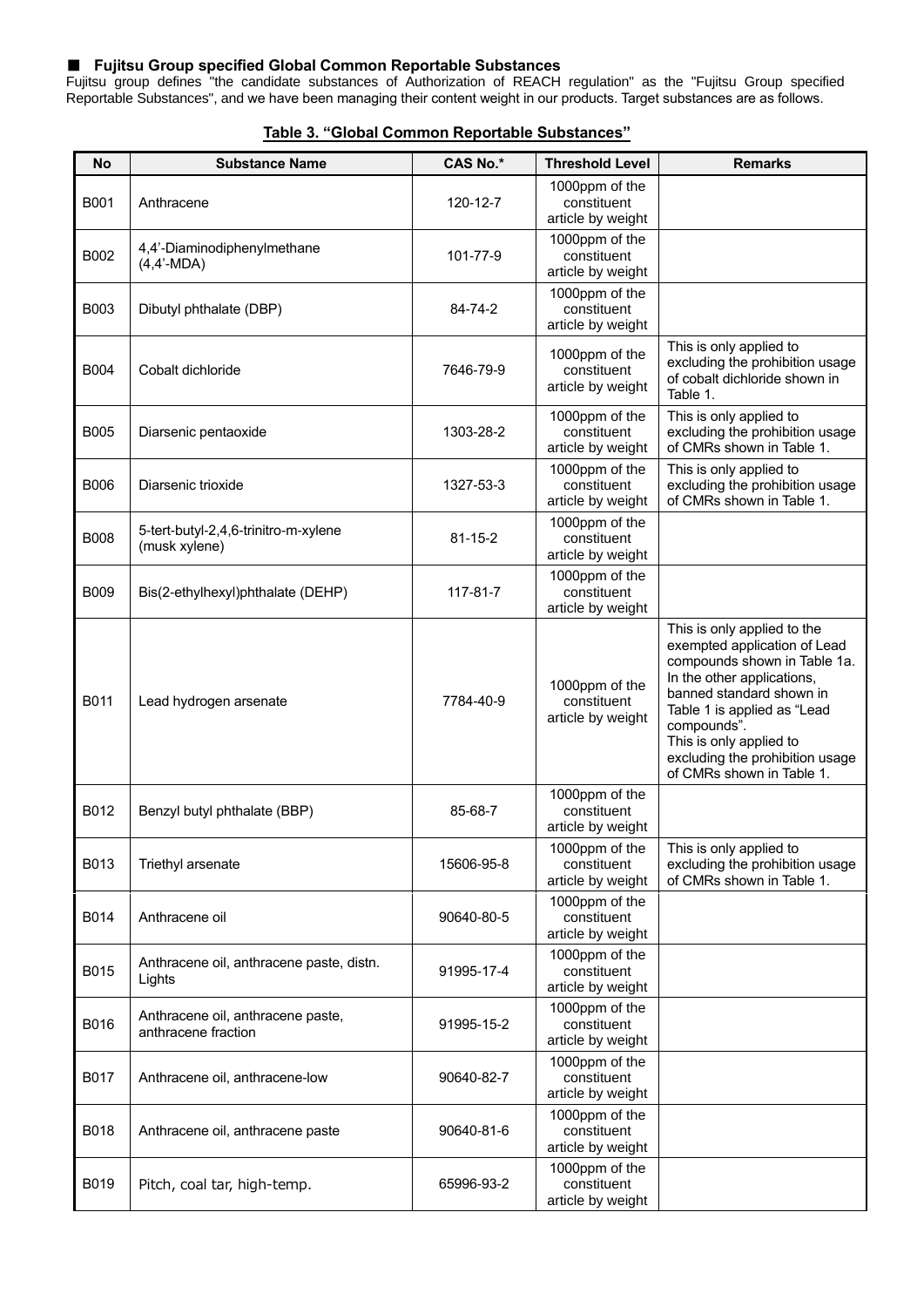## ■ **Fujitsu Group specified Global Common Reportable Substances**

Fujitsu group defines "the candidate substances of Authorization of REACH regulation" as the "Fujitsu Group specified Reportable Substances", and we have been managing their content weight in our products. Target substances are as follows.

| <b>No</b>   | <b>Substance Name</b>                                    | <b>CAS No.*</b> | <b>Threshold Level</b>                             | <b>Remarks</b>                                                                                                                                                                                                                                                                                 |
|-------------|----------------------------------------------------------|-----------------|----------------------------------------------------|------------------------------------------------------------------------------------------------------------------------------------------------------------------------------------------------------------------------------------------------------------------------------------------------|
| B001        | Anthracene                                               | 120-12-7        | 1000ppm of the<br>constituent<br>article by weight |                                                                                                                                                                                                                                                                                                |
| B002        | 4,4'-Diaminodiphenylmethane<br>$(4,4'-MDA)$              | 101-77-9        | 1000ppm of the<br>constituent<br>article by weight |                                                                                                                                                                                                                                                                                                |
| <b>B003</b> | Dibutyl phthalate (DBP)                                  | 84-74-2         | 1000ppm of the<br>constituent<br>article by weight |                                                                                                                                                                                                                                                                                                |
| <b>B004</b> | Cobalt dichloride                                        | 7646-79-9       | 1000ppm of the<br>constituent<br>article by weight | This is only applied to<br>excluding the prohibition usage<br>of cobalt dichloride shown in<br>Table 1.                                                                                                                                                                                        |
| <b>B005</b> | Diarsenic pentaoxide                                     | 1303-28-2       | 1000ppm of the<br>constituent<br>article by weight | This is only applied to<br>excluding the prohibition usage<br>of CMRs shown in Table 1.                                                                                                                                                                                                        |
| B006        | Diarsenic trioxide                                       | 1327-53-3       | 1000ppm of the<br>constituent<br>article by weight | This is only applied to<br>excluding the prohibition usage<br>of CMRs shown in Table 1.                                                                                                                                                                                                        |
| B008        | 5-tert-butyl-2,4,6-trinitro-m-xylene<br>(musk xylene)    | $81 - 15 - 2$   | 1000ppm of the<br>constituent<br>article by weight |                                                                                                                                                                                                                                                                                                |
| <b>B009</b> | Bis(2-ethylhexyl)phthalate (DEHP)                        | 117-81-7        | 1000ppm of the<br>constituent<br>article by weight |                                                                                                                                                                                                                                                                                                |
| B011        | Lead hydrogen arsenate                                   | 7784-40-9       | 1000ppm of the<br>constituent<br>article by weight | This is only applied to the<br>exempted application of Lead<br>compounds shown in Table 1a.<br>In the other applications,<br>banned standard shown in<br>Table 1 is applied as "Lead<br>compounds".<br>This is only applied to<br>excluding the prohibition usage<br>of CMRs shown in Table 1. |
| B012        | Benzyl butyl phthalate (BBP)                             | 85-68-7         | 1000ppm of the<br>constituent<br>article by weight |                                                                                                                                                                                                                                                                                                |
| B013        | Triethyl arsenate                                        | 15606-95-8      | 1000ppm of the<br>constituent<br>article by weight | This is only applied to<br>excluding the prohibition usage<br>of CMRs shown in Table 1.                                                                                                                                                                                                        |
| B014        | Anthracene oil                                           | 90640-80-5      | 1000ppm of the<br>constituent<br>article by weight |                                                                                                                                                                                                                                                                                                |
| B015        | Anthracene oil, anthracene paste, distn.<br>Lights       | 91995-17-4      | 1000ppm of the<br>constituent<br>article by weight |                                                                                                                                                                                                                                                                                                |
| B016        | Anthracene oil, anthracene paste,<br>anthracene fraction | 91995-15-2      | 1000ppm of the<br>constituent<br>article by weight |                                                                                                                                                                                                                                                                                                |
| <b>B017</b> | Anthracene oil, anthracene-low                           | 90640-82-7      | 1000ppm of the<br>constituent<br>article by weight |                                                                                                                                                                                                                                                                                                |
| B018        | Anthracene oil, anthracene paste                         | 90640-81-6      | 1000ppm of the<br>constituent<br>article by weight |                                                                                                                                                                                                                                                                                                |
| B019        | Pitch, coal tar, high-temp.                              | 65996-93-2      | 1000ppm of the<br>constituent<br>article by weight |                                                                                                                                                                                                                                                                                                |

## **Table 3. "Global Common Reportable Substances"**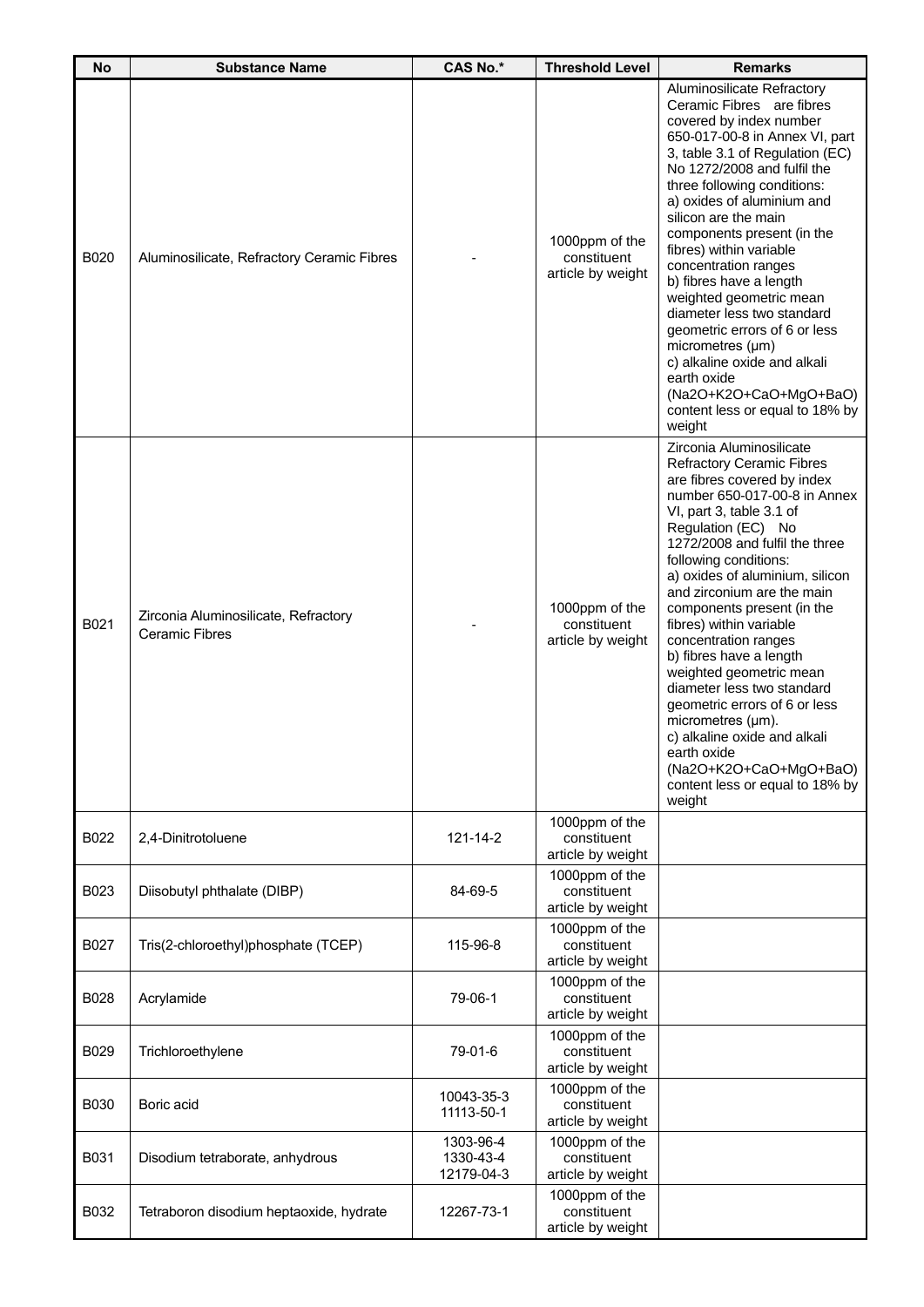| <b>No</b>   | <b>Substance Name</b>                                         | <b>CAS No.*</b>                      | <b>Threshold Level</b>                             | <b>Remarks</b>                                                                                                                                                                                                                                                                                                                                                                                                                                                                                                                                                                                                                                             |
|-------------|---------------------------------------------------------------|--------------------------------------|----------------------------------------------------|------------------------------------------------------------------------------------------------------------------------------------------------------------------------------------------------------------------------------------------------------------------------------------------------------------------------------------------------------------------------------------------------------------------------------------------------------------------------------------------------------------------------------------------------------------------------------------------------------------------------------------------------------------|
| <b>B020</b> | Aluminosilicate, Refractory Ceramic Fibres                    |                                      | 1000ppm of the<br>constituent<br>article by weight | Aluminosilicate Refractory<br>Ceramic Fibres are fibres<br>covered by index number<br>650-017-00-8 in Annex VI, part<br>3, table 3.1 of Regulation (EC)<br>No 1272/2008 and fulfil the<br>three following conditions:<br>a) oxides of aluminium and<br>silicon are the main<br>components present (in the<br>fibres) within variable<br>concentration ranges<br>b) fibres have a length<br>weighted geometric mean<br>diameter less two standard<br>geometric errors of 6 or less<br>micrometres (µm)<br>c) alkaline oxide and alkali<br>earth oxide<br>(Na2O+K2O+CaO+MgO+BaO)<br>content less or equal to 18% by<br>weight                                |
| B021        | Zirconia Aluminosilicate, Refractory<br><b>Ceramic Fibres</b> |                                      | 1000ppm of the<br>constituent<br>article by weight | Zirconia Aluminosilicate<br><b>Refractory Ceramic Fibres</b><br>are fibres covered by index<br>number 650-017-00-8 in Annex<br>VI, part 3, table 3.1 of<br>Regulation (EC) No<br>1272/2008 and fulfil the three<br>following conditions:<br>a) oxides of aluminium, silicon<br>and zirconium are the main<br>components present (in the<br>fibres) within variable<br>concentration ranges<br>b) fibres have a length<br>weighted geometric mean<br>diameter less two standard<br>geometric errors of 6 or less<br>micrometres (µm).<br>c) alkaline oxide and alkali<br>earth oxide<br>(Na2O+K2O+CaO+MgO+BaO)<br>content less or equal to 18% by<br>weight |
| B022        | 2,4-Dinitrotoluene                                            | 121-14-2                             | 1000ppm of the<br>constituent<br>article by weight |                                                                                                                                                                                                                                                                                                                                                                                                                                                                                                                                                                                                                                                            |
| B023        | Diisobutyl phthalate (DIBP)                                   | 84-69-5                              | 1000ppm of the<br>constituent<br>article by weight |                                                                                                                                                                                                                                                                                                                                                                                                                                                                                                                                                                                                                                                            |
| B027        | Tris(2-chloroethyl)phosphate (TCEP)                           | 115-96-8                             | 1000ppm of the<br>constituent<br>article by weight |                                                                                                                                                                                                                                                                                                                                                                                                                                                                                                                                                                                                                                                            |
| B028        | Acrylamide                                                    | 79-06-1                              | 1000ppm of the<br>constituent<br>article by weight |                                                                                                                                                                                                                                                                                                                                                                                                                                                                                                                                                                                                                                                            |
| B029        | Trichloroethylene                                             | 79-01-6                              | 1000ppm of the<br>constituent<br>article by weight |                                                                                                                                                                                                                                                                                                                                                                                                                                                                                                                                                                                                                                                            |
| <b>B030</b> | Boric acid                                                    | 10043-35-3<br>11113-50-1             | 1000ppm of the<br>constituent<br>article by weight |                                                                                                                                                                                                                                                                                                                                                                                                                                                                                                                                                                                                                                                            |
| B031        | Disodium tetraborate, anhydrous                               | 1303-96-4<br>1330-43-4<br>12179-04-3 | 1000ppm of the<br>constituent<br>article by weight |                                                                                                                                                                                                                                                                                                                                                                                                                                                                                                                                                                                                                                                            |
| B032        | Tetraboron disodium heptaoxide, hydrate                       | 12267-73-1                           | 1000ppm of the<br>constituent<br>article by weight |                                                                                                                                                                                                                                                                                                                                                                                                                                                                                                                                                                                                                                                            |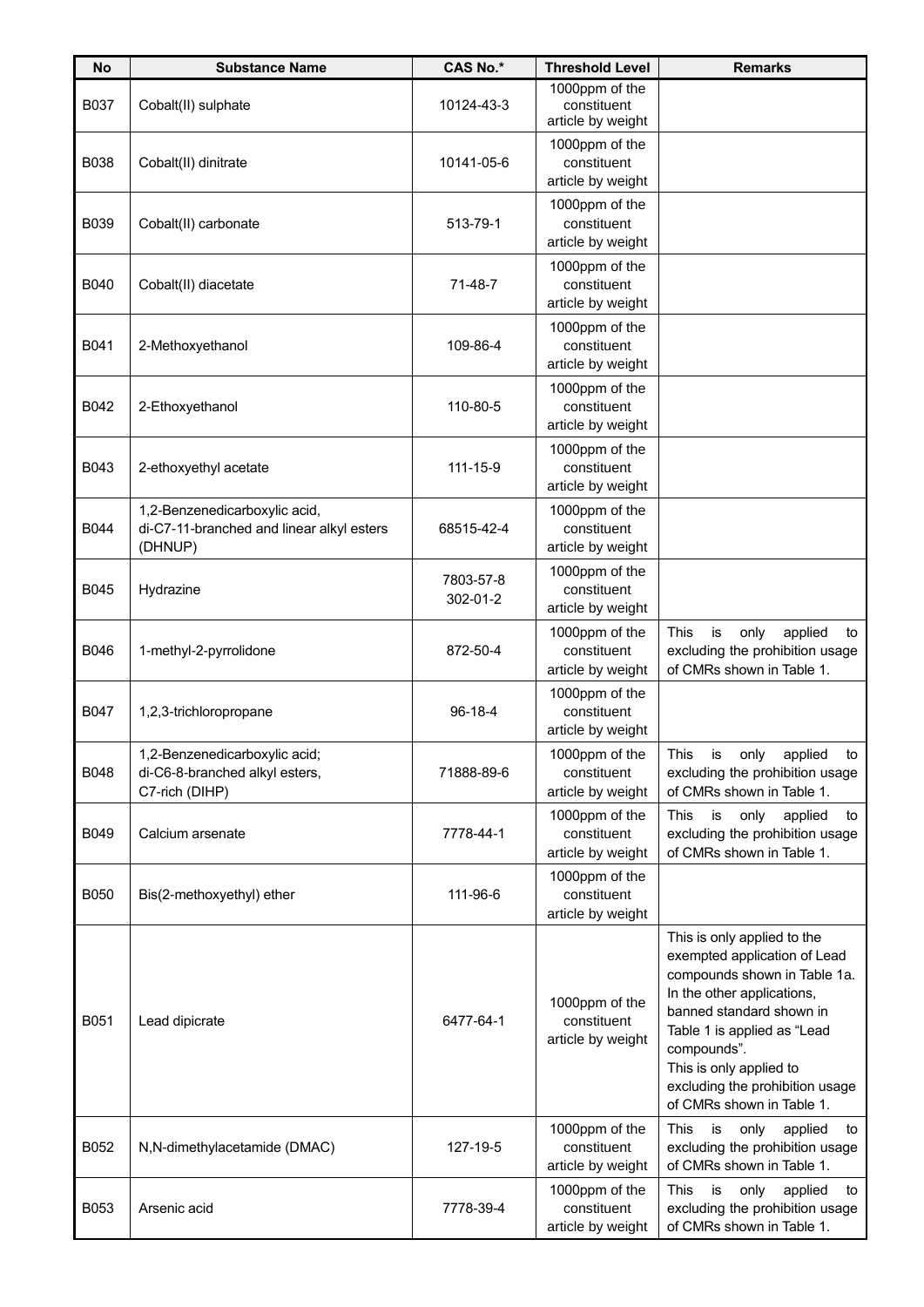| <b>No</b>   | <b>Substance Name</b>                                                                 | <b>CAS No.*</b>       | <b>Threshold Level</b>                             | <b>Remarks</b>                                                                                                                                                                                                                                                                                 |
|-------------|---------------------------------------------------------------------------------------|-----------------------|----------------------------------------------------|------------------------------------------------------------------------------------------------------------------------------------------------------------------------------------------------------------------------------------------------------------------------------------------------|
| B037        | Cobalt(II) sulphate                                                                   | 10124-43-3            | 1000ppm of the<br>constituent<br>article by weight |                                                                                                                                                                                                                                                                                                |
| <b>B038</b> | Cobalt(II) dinitrate                                                                  | 10141-05-6            | 1000ppm of the<br>constituent<br>article by weight |                                                                                                                                                                                                                                                                                                |
| <b>B039</b> | Cobalt(II) carbonate                                                                  | 513-79-1              | 1000ppm of the<br>constituent<br>article by weight |                                                                                                                                                                                                                                                                                                |
| <b>B040</b> | Cobalt(II) diacetate                                                                  | 71-48-7               | 1000ppm of the<br>constituent<br>article by weight |                                                                                                                                                                                                                                                                                                |
| B041        | 2-Methoxyethanol                                                                      | 109-86-4              | 1000ppm of the<br>constituent<br>article by weight |                                                                                                                                                                                                                                                                                                |
| B042        | 2-Ethoxyethanol                                                                       | 110-80-5              | 1000ppm of the<br>constituent<br>article by weight |                                                                                                                                                                                                                                                                                                |
| B043        | 2-ethoxyethyl acetate                                                                 | 111-15-9              | 1000ppm of the<br>constituent<br>article by weight |                                                                                                                                                                                                                                                                                                |
| <b>B044</b> | 1,2-Benzenedicarboxylic acid,<br>di-C7-11-branched and linear alkyl esters<br>(DHNUP) | 68515-42-4            | 1000ppm of the<br>constituent<br>article by weight |                                                                                                                                                                                                                                                                                                |
| <b>B045</b> | Hydrazine                                                                             | 7803-57-8<br>302-01-2 | 1000ppm of the<br>constituent<br>article by weight |                                                                                                                                                                                                                                                                                                |
| B046        | 1-methyl-2-pyrrolidone                                                                | 872-50-4              | 1000ppm of the<br>constituent<br>article by weight | This<br>is<br>only<br>applied<br>to<br>excluding the prohibition usage<br>of CMRs shown in Table 1.                                                                                                                                                                                            |
| B047        | 1,2,3-trichloropropane                                                                | 96-18-4               | 1000ppm of the<br>constituent<br>article by weight |                                                                                                                                                                                                                                                                                                |
| B048        | 1,2-Benzenedicarboxylic acid;<br>di-C6-8-branched alkyl esters,<br>C7-rich (DIHP)     | 71888-89-6            | 1000ppm of the<br>constituent<br>article by weight | This is only<br>applied<br>to<br>excluding the prohibition usage<br>of CMRs shown in Table 1.                                                                                                                                                                                                  |
| B049        | Calcium arsenate                                                                      | 7778-44-1             | 1000ppm of the<br>constituent<br>article by weight | This<br>is<br>only<br>applied<br>to<br>excluding the prohibition usage<br>of CMRs shown in Table 1.                                                                                                                                                                                            |
| <b>B050</b> | Bis(2-methoxyethyl) ether                                                             | 111-96-6              | 1000ppm of the<br>constituent<br>article by weight |                                                                                                                                                                                                                                                                                                |
| B051        | Lead dipicrate                                                                        | 6477-64-1             | 1000ppm of the<br>constituent<br>article by weight | This is only applied to the<br>exempted application of Lead<br>compounds shown in Table 1a.<br>In the other applications,<br>banned standard shown in<br>Table 1 is applied as "Lead<br>compounds".<br>This is only applied to<br>excluding the prohibition usage<br>of CMRs shown in Table 1. |
| B052        | N,N-dimethylacetamide (DMAC)                                                          | 127-19-5              | 1000ppm of the<br>constituent<br>article by weight | <b>This</b><br>only<br>applied<br>is<br>to<br>excluding the prohibition usage<br>of CMRs shown in Table 1.                                                                                                                                                                                     |
| B053        | Arsenic acid                                                                          | 7778-39-4             | 1000ppm of the<br>constituent<br>article by weight | This<br>is<br>only<br>applied<br>to<br>excluding the prohibition usage<br>of CMRs shown in Table 1.                                                                                                                                                                                            |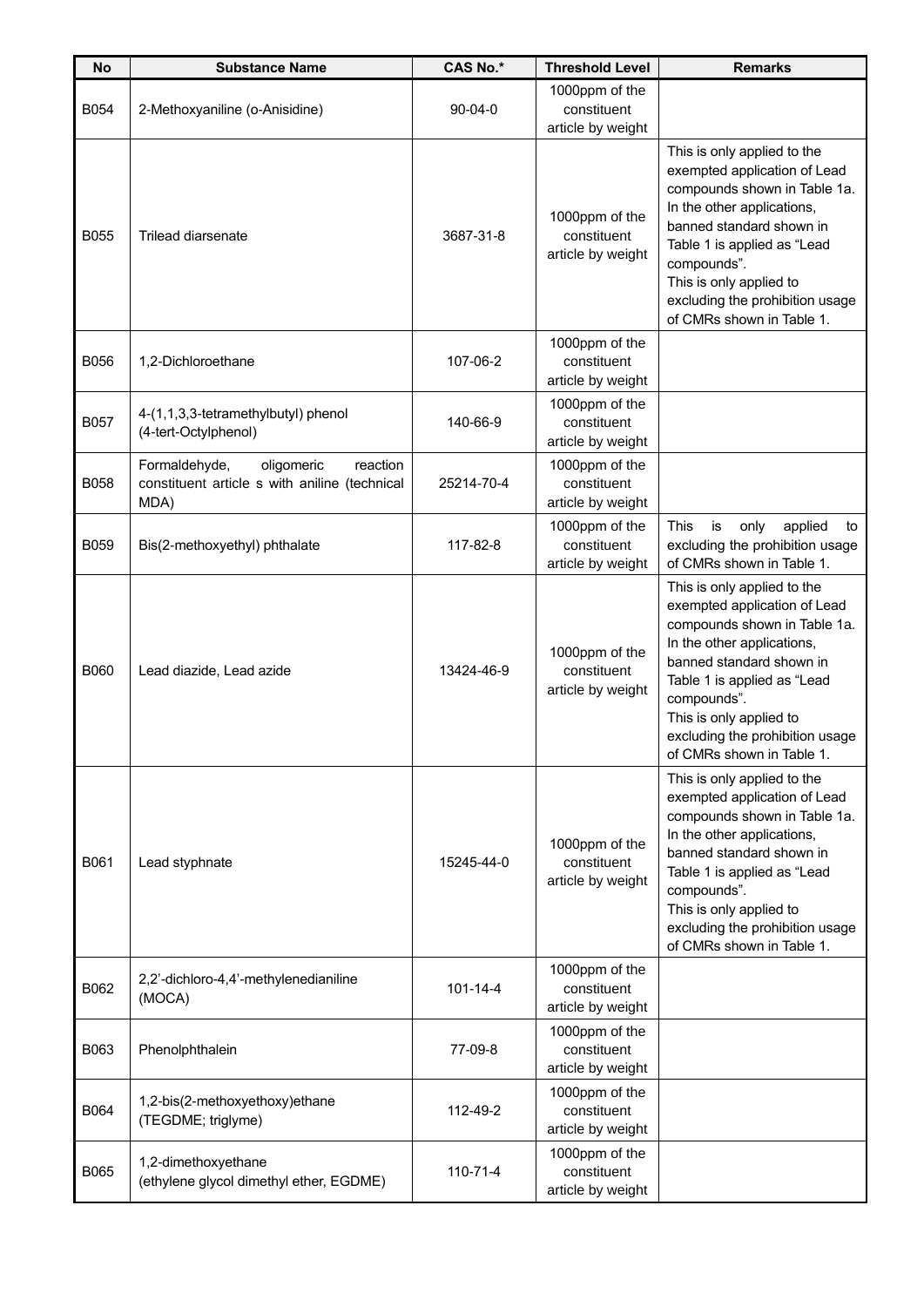| <b>No</b>   | <b>Substance Name</b>                                                                            | <b>CAS No.*</b> | <b>Threshold Level</b>                             | <b>Remarks</b>                                                                                                                                                                                                                                                                                 |
|-------------|--------------------------------------------------------------------------------------------------|-----------------|----------------------------------------------------|------------------------------------------------------------------------------------------------------------------------------------------------------------------------------------------------------------------------------------------------------------------------------------------------|
| <b>B054</b> | 2-Methoxyaniline (o-Anisidine)                                                                   | $90 - 04 - 0$   | 1000ppm of the<br>constituent<br>article by weight |                                                                                                                                                                                                                                                                                                |
| <b>B055</b> | Trilead diarsenate                                                                               | 3687-31-8       | 1000ppm of the<br>constituent<br>article by weight | This is only applied to the<br>exempted application of Lead<br>compounds shown in Table 1a.<br>In the other applications,<br>banned standard shown in<br>Table 1 is applied as "Lead<br>compounds".<br>This is only applied to<br>excluding the prohibition usage<br>of CMRs shown in Table 1. |
| B056        | 1,2-Dichloroethane                                                                               | 107-06-2        | 1000ppm of the<br>constituent<br>article by weight |                                                                                                                                                                                                                                                                                                |
| <b>B057</b> | 4-(1,1,3,3-tetramethylbutyl) phenol<br>(4-tert-Octylphenol)                                      | 140-66-9        | 1000ppm of the<br>constituent<br>article by weight |                                                                                                                                                                                                                                                                                                |
| <b>B058</b> | Formaldehyde,<br>oligomeric<br>reaction<br>constituent article s with aniline (technical<br>MDA) | 25214-70-4      | 1000ppm of the<br>constituent<br>article by weight |                                                                                                                                                                                                                                                                                                |
| <b>B059</b> | Bis(2-methoxyethyl) phthalate                                                                    | 117-82-8        | 1000ppm of the<br>constituent<br>article by weight | This<br>is<br>only<br>applied<br>to<br>excluding the prohibition usage<br>of CMRs shown in Table 1.                                                                                                                                                                                            |
| <b>B060</b> | Lead diazide, Lead azide                                                                         | 13424-46-9      | 1000ppm of the<br>constituent<br>article by weight | This is only applied to the<br>exempted application of Lead<br>compounds shown in Table 1a.<br>In the other applications,<br>banned standard shown in<br>Table 1 is applied as "Lead<br>compounds".<br>This is only applied to<br>excluding the prohibition usage<br>of CMRs shown in Table 1. |
| B061        | Lead styphnate                                                                                   | 15245-44-0      | 1000ppm of the<br>constituent<br>article by weight | This is only applied to the<br>exempted application of Lead<br>compounds shown in Table 1a.<br>In the other applications,<br>banned standard shown in<br>Table 1 is applied as "Lead<br>compounds".<br>This is only applied to<br>excluding the prohibition usage<br>of CMRs shown in Table 1. |
| B062        | 2,2'-dichloro-4,4'-methylenedianiline<br>(MOCA)                                                  | $101 - 14 - 4$  | 1000ppm of the<br>constituent<br>article by weight |                                                                                                                                                                                                                                                                                                |
| B063        | Phenolphthalein                                                                                  | 77-09-8         | 1000ppm of the<br>constituent<br>article by weight |                                                                                                                                                                                                                                                                                                |
| <b>B064</b> | 1,2-bis(2-methoxyethoxy)ethane<br>(TEGDME; triglyme)                                             | 112-49-2        | 1000ppm of the<br>constituent<br>article by weight |                                                                                                                                                                                                                                                                                                |
| B065        | 1,2-dimethoxyethane<br>(ethylene glycol dimethyl ether, EGDME)                                   | 110-71-4        | 1000ppm of the<br>constituent<br>article by weight |                                                                                                                                                                                                                                                                                                |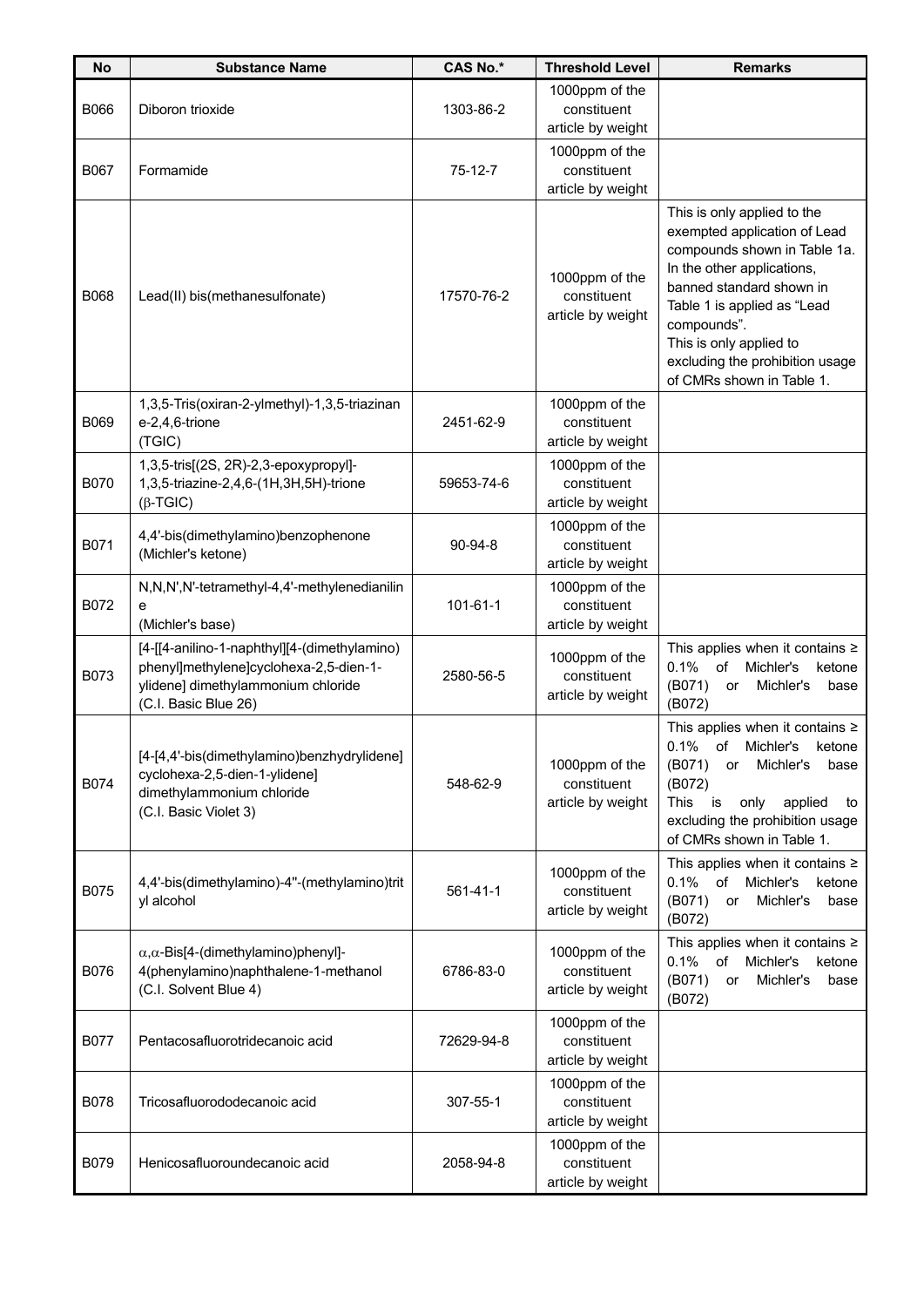| <b>No</b>   | <b>Substance Name</b>                                                                                                                                | <b>CAS No.*</b> | <b>Threshold Level</b>                             | <b>Remarks</b>                                                                                                                                                                                                                                                                                 |
|-------------|------------------------------------------------------------------------------------------------------------------------------------------------------|-----------------|----------------------------------------------------|------------------------------------------------------------------------------------------------------------------------------------------------------------------------------------------------------------------------------------------------------------------------------------------------|
| B066        | Diboron trioxide                                                                                                                                     | 1303-86-2       | 1000ppm of the<br>constituent<br>article by weight |                                                                                                                                                                                                                                                                                                |
| <b>B067</b> | Formamide                                                                                                                                            | $75-12-7$       | 1000ppm of the<br>constituent<br>article by weight |                                                                                                                                                                                                                                                                                                |
| <b>B068</b> | Lead(II) bis(methanesulfonate)                                                                                                                       | 17570-76-2      | 1000ppm of the<br>constituent<br>article by weight | This is only applied to the<br>exempted application of Lead<br>compounds shown in Table 1a.<br>In the other applications,<br>banned standard shown in<br>Table 1 is applied as "Lead<br>compounds".<br>This is only applied to<br>excluding the prohibition usage<br>of CMRs shown in Table 1. |
| B069        | 1,3,5-Tris(oxiran-2-ylmethyl)-1,3,5-triazinan<br>e-2,4,6-trione<br>(TGIC)                                                                            | 2451-62-9       | 1000ppm of the<br>constituent<br>article by weight |                                                                                                                                                                                                                                                                                                |
| <b>B070</b> | 1,3,5-tris[(2S, 2R)-2,3-epoxypropyl]-<br>1,3,5-triazine-2,4,6-(1H,3H,5H)-trione<br>$(\beta$ -TGIC)                                                   | 59653-74-6      | 1000ppm of the<br>constituent<br>article by weight |                                                                                                                                                                                                                                                                                                |
| B071        | 4,4'-bis(dimethylamino)benzophenone<br>(Michler's ketone)                                                                                            | $90 - 94 - 8$   | 1000ppm of the<br>constituent<br>article by weight |                                                                                                                                                                                                                                                                                                |
| B072        | N,N,N',N'-tetramethyl-4,4'-methylenedianilin<br>е<br>(Michler's base)                                                                                | 101-61-1        | 1000ppm of the<br>constituent<br>article by weight |                                                                                                                                                                                                                                                                                                |
| B073        | [4-[[4-anilino-1-naphthyl][4-(dimethylamino)<br>phenyl]methylene]cyclohexa-2,5-dien-1-<br>ylidene] dimethylammonium chloride<br>(C.I. Basic Blue 26) | 2580-56-5       | 1000ppm of the<br>constituent<br>article by weight | This applies when it contains $\ge$<br>0.1%<br>of<br>Michler's<br>ketone<br>(B071)<br>Michler's<br>or<br>base<br>(B072)                                                                                                                                                                        |
| B074        | [4-[4,4'-bis(dimethylamino)benzhydrylidene]<br>cyclohexa-2,5-dien-1-ylidene]<br>dimethylammonium chloride<br>(C.I. Basic Violet 3)                   | 548-62-9        | 1000ppm of the<br>constituent<br>article by weight | This applies when it contains $\ge$<br>0.1%<br>of<br>Michler's<br>ketone<br>(B071)<br>Michler's<br>base<br>or<br>(B072)<br>This<br>is<br>applied<br>only<br>to<br>excluding the prohibition usage<br>of CMRs shown in Table 1.                                                                 |
| B075        | 4,4'-bis(dimethylamino)-4"-(methylamino)trit<br>yl alcohol                                                                                           | $561 - 41 - 1$  | 1000ppm of the<br>constituent<br>article by weight | This applies when it contains $\ge$<br>$0.1\%$<br>of<br>Michler's<br>ketone<br>(B071)<br>Michler's<br>base<br>or<br>(B072)                                                                                                                                                                     |
| B076        | $\alpha, \alpha$ -Bis[4-(dimethylamino)phenyl]-<br>4(phenylamino)naphthalene-1-methanol<br>(C.I. Solvent Blue 4)                                     | 6786-83-0       | 1000ppm of the<br>constituent<br>article by weight | This applies when it contains $\ge$<br>0.1%<br>of<br>Michler's<br>ketone<br>(B071)<br>Michler's<br>or<br>base<br>(B072)                                                                                                                                                                        |
| <b>B077</b> | Pentacosafluorotridecanoic acid                                                                                                                      | 72629-94-8      | 1000ppm of the<br>constituent<br>article by weight |                                                                                                                                                                                                                                                                                                |
| B078        | Tricosafluorododecanoic acid                                                                                                                         | 307-55-1        | 1000ppm of the<br>constituent<br>article by weight |                                                                                                                                                                                                                                                                                                |
| B079        | Henicosafluoroundecanoic acid                                                                                                                        | 2058-94-8       | 1000ppm of the<br>constituent<br>article by weight |                                                                                                                                                                                                                                                                                                |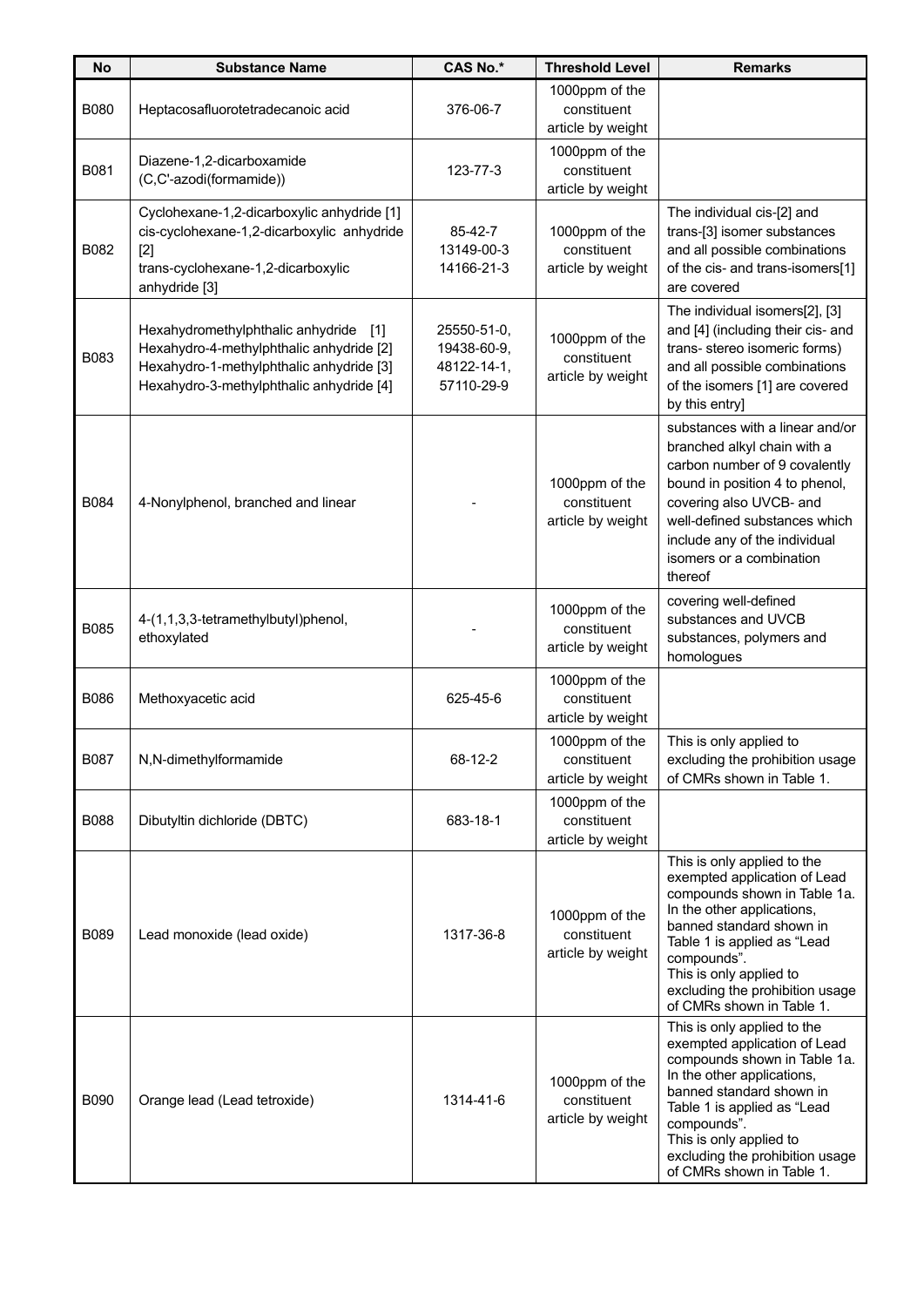| <b>No</b>   | <b>Substance Name</b>                                                                                                                                                     | <b>CAS No.*</b>                                         | <b>Threshold Level</b>                             | <b>Remarks</b>                                                                                                                                                                                                                                                                                 |
|-------------|---------------------------------------------------------------------------------------------------------------------------------------------------------------------------|---------------------------------------------------------|----------------------------------------------------|------------------------------------------------------------------------------------------------------------------------------------------------------------------------------------------------------------------------------------------------------------------------------------------------|
| <b>B080</b> | Heptacosafluorotetradecanoic acid                                                                                                                                         | 376-06-7                                                | 1000ppm of the<br>constituent<br>article by weight |                                                                                                                                                                                                                                                                                                |
| B081        | Diazene-1,2-dicarboxamide<br>(C,C'-azodi(formamide))                                                                                                                      | 123-77-3                                                | 1000ppm of the<br>constituent<br>article by weight |                                                                                                                                                                                                                                                                                                |
| B082        | Cyclohexane-1,2-dicarboxylic anhydride [1]<br>cis-cyclohexane-1,2-dicarboxylic anhydride<br>$[2]$<br>trans-cyclohexane-1,2-dicarboxylic<br>anhydride [3]                  | 85-42-7<br>13149-00-3<br>14166-21-3                     | 1000ppm of the<br>constituent<br>article by weight | The individual cis-[2] and<br>trans-[3] isomer substances<br>and all possible combinations<br>of the cis- and trans-isomers[1]<br>are covered                                                                                                                                                  |
| B083        | Hexahydromethylphthalic anhydride [1]<br>Hexahydro-4-methylphthalic anhydride [2]<br>Hexahydro-1-methylphthalic anhydride [3]<br>Hexahydro-3-methylphthalic anhydride [4] | 25550-51-0,<br>19438-60-9,<br>48122-14-1,<br>57110-29-9 | 1000ppm of the<br>constituent<br>article by weight | The individual isomers[2], [3]<br>and [4] (including their cis- and<br>trans-stereo isomeric forms)<br>and all possible combinations<br>of the isomers [1] are covered<br>by this entry]                                                                                                       |
| B084        | 4-Nonylphenol, branched and linear                                                                                                                                        |                                                         | 1000ppm of the<br>constituent<br>article by weight | substances with a linear and/or<br>branched alkyl chain with a<br>carbon number of 9 covalently<br>bound in position 4 to phenol,<br>covering also UVCB- and<br>well-defined substances which<br>include any of the individual<br>isomers or a combination<br>thereof                          |
| B085        | 4-(1,1,3,3-tetramethylbutyl)phenol,<br>ethoxylated                                                                                                                        |                                                         | 1000ppm of the<br>constituent<br>article by weight | covering well-defined<br>substances and UVCB<br>substances, polymers and<br>homologues                                                                                                                                                                                                         |
| B086        | Methoxyacetic acid                                                                                                                                                        | 625-45-6                                                | 1000ppm of the<br>constituent<br>article by weight |                                                                                                                                                                                                                                                                                                |
| B087        | N,N-dimethylformamide                                                                                                                                                     | 68-12-2                                                 | 1000ppm of the<br>constituent<br>article by weight | This is only applied to<br>excluding the prohibition usage<br>of CMRs shown in Table 1.                                                                                                                                                                                                        |
| B088        | Dibutyltin dichloride (DBTC)                                                                                                                                              | 683-18-1                                                | 1000ppm of the<br>constituent<br>article by weight |                                                                                                                                                                                                                                                                                                |
| B089        | Lead monoxide (lead oxide)                                                                                                                                                | 1317-36-8                                               | 1000ppm of the<br>constituent<br>article by weight | This is only applied to the<br>exempted application of Lead<br>compounds shown in Table 1a.<br>In the other applications,<br>banned standard shown in<br>Table 1 is applied as "Lead<br>compounds".<br>This is only applied to<br>excluding the prohibition usage<br>of CMRs shown in Table 1. |
| <b>B090</b> | Orange lead (Lead tetroxide)                                                                                                                                              | 1314-41-6                                               | 1000ppm of the<br>constituent<br>article by weight | This is only applied to the<br>exempted application of Lead<br>compounds shown in Table 1a.<br>In the other applications,<br>banned standard shown in<br>Table 1 is applied as "Lead<br>compounds".<br>This is only applied to<br>excluding the prohibition usage<br>of CMRs shown in Table 1. |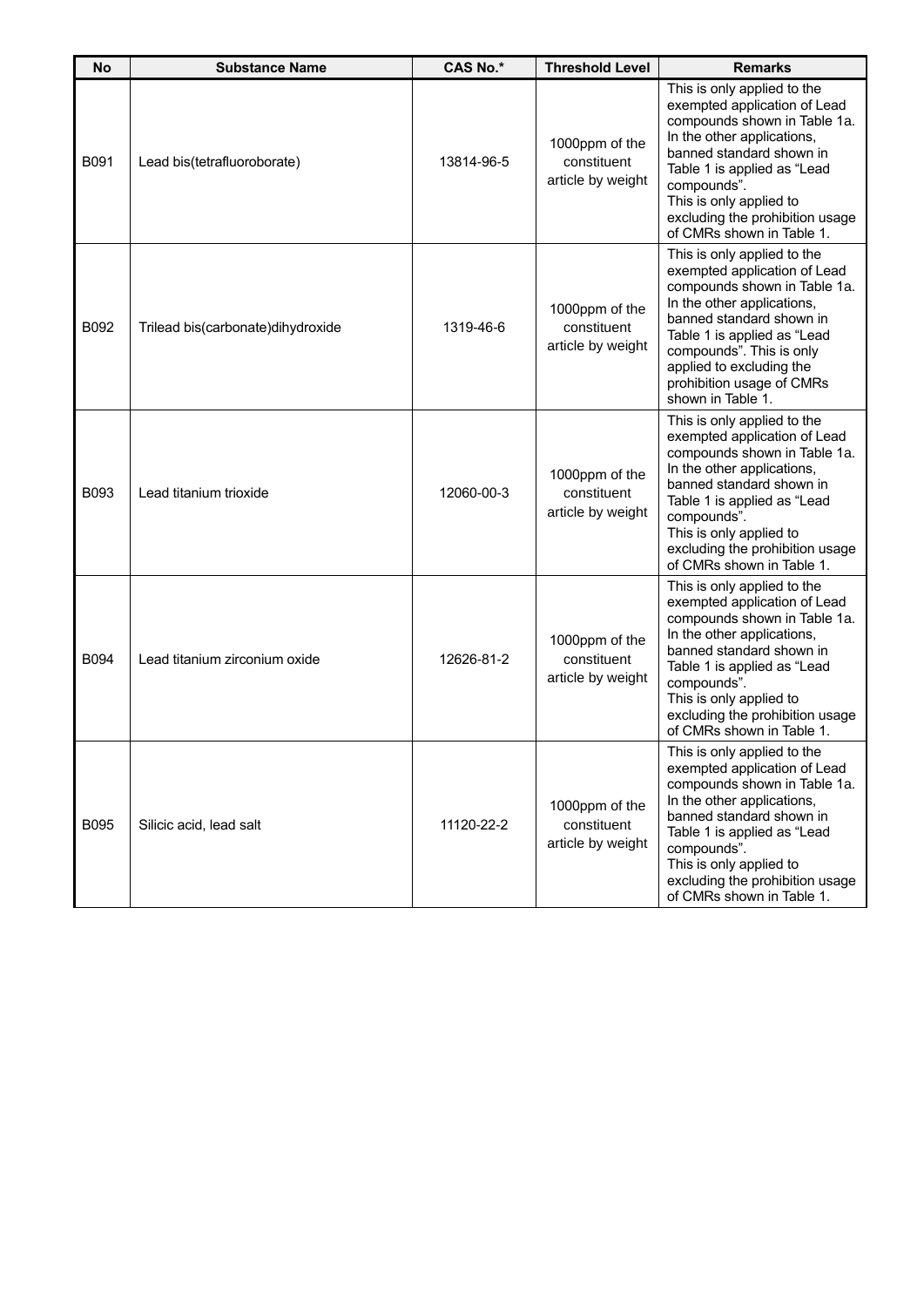| <b>No</b> | <b>Substance Name</b>             | <b>CAS No.*</b> | <b>Threshold Level</b>                             | <b>Remarks</b>                                                                                                                                                                                                                                                                                 |
|-----------|-----------------------------------|-----------------|----------------------------------------------------|------------------------------------------------------------------------------------------------------------------------------------------------------------------------------------------------------------------------------------------------------------------------------------------------|
| B091      | Lead bis(tetrafluoroborate)       | 13814-96-5      | 1000ppm of the<br>constituent<br>article by weight | This is only applied to the<br>exempted application of Lead<br>compounds shown in Table 1a.<br>In the other applications,<br>banned standard shown in<br>Table 1 is applied as "Lead<br>compounds".<br>This is only applied to<br>excluding the prohibition usage<br>of CMRs shown in Table 1. |
| B092      | Trilead bis(carbonate)dihydroxide | 1319-46-6       | 1000ppm of the<br>constituent<br>article by weight | This is only applied to the<br>exempted application of Lead<br>compounds shown in Table 1a.<br>In the other applications,<br>banned standard shown in<br>Table 1 is applied as "Lead<br>compounds". This is only<br>applied to excluding the<br>prohibition usage of CMRs<br>shown in Table 1. |
| B093      | Lead titanium trioxide            | 12060-00-3      | 1000ppm of the<br>constituent<br>article by weight | This is only applied to the<br>exempted application of Lead<br>compounds shown in Table 1a.<br>In the other applications,<br>banned standard shown in<br>Table 1 is applied as "Lead<br>compounds".<br>This is only applied to<br>excluding the prohibition usage<br>of CMRs shown in Table 1. |
| B094      | Lead titanium zirconium oxide     | 12626-81-2      | 1000ppm of the<br>constituent<br>article by weight | This is only applied to the<br>exempted application of Lead<br>compounds shown in Table 1a.<br>In the other applications,<br>banned standard shown in<br>Table 1 is applied as "Lead<br>compounds".<br>This is only applied to<br>excluding the prohibition usage<br>of CMRs shown in Table 1. |
| B095      | Silicic acid, lead salt           | 11120-22-2      | 1000ppm of the<br>constituent<br>article by weight | This is only applied to the<br>exempted application of Lead<br>compounds shown in Table 1a.<br>In the other applications,<br>banned standard shown in<br>Table 1 is applied as "Lead<br>compounds".<br>This is only applied to<br>excluding the prohibition usage<br>of CMRs shown in Table 1. |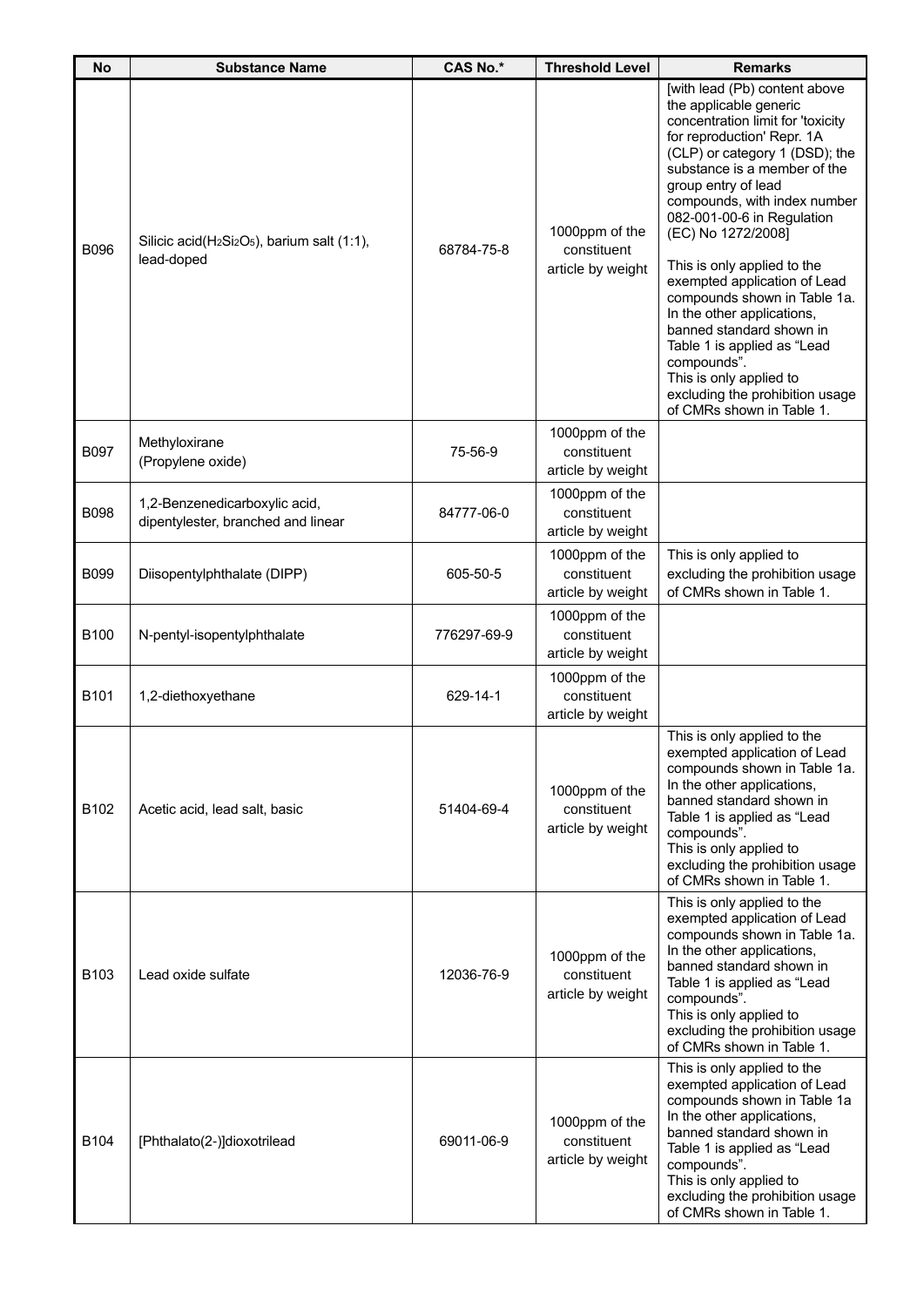| No               | <b>Substance Name</b>                                               | <b>CAS No.*</b> | <b>Threshold Level</b>                             | <b>Remarks</b>                                                                                                                                                                                                                                                                                                                                                                                                                                                                                                                                                                                            |
|------------------|---------------------------------------------------------------------|-----------------|----------------------------------------------------|-----------------------------------------------------------------------------------------------------------------------------------------------------------------------------------------------------------------------------------------------------------------------------------------------------------------------------------------------------------------------------------------------------------------------------------------------------------------------------------------------------------------------------------------------------------------------------------------------------------|
| B096             | Silicic acid( $H_2Si_2O_5$ ), barium salt (1:1),<br>lead-doped      | 68784-75-8      | 1000ppm of the<br>constituent<br>article by weight | [with lead (Pb) content above<br>the applicable generic<br>concentration limit for 'toxicity<br>for reproduction' Repr. 1A<br>(CLP) or category 1 (DSD); the<br>substance is a member of the<br>group entry of lead<br>compounds, with index number<br>082-001-00-6 in Regulation<br>(EC) No 1272/2008]<br>This is only applied to the<br>exempted application of Lead<br>compounds shown in Table 1a.<br>In the other applications,<br>banned standard shown in<br>Table 1 is applied as "Lead<br>compounds".<br>This is only applied to<br>excluding the prohibition usage<br>of CMRs shown in Table 1. |
| <b>B097</b>      | Methyloxirane<br>(Propylene oxide)                                  | 75-56-9         | 1000ppm of the<br>constituent<br>article by weight |                                                                                                                                                                                                                                                                                                                                                                                                                                                                                                                                                                                                           |
| B098             | 1,2-Benzenedicarboxylic acid,<br>dipentylester, branched and linear | 84777-06-0      | 1000ppm of the<br>constituent<br>article by weight |                                                                                                                                                                                                                                                                                                                                                                                                                                                                                                                                                                                                           |
| B099             | Diisopentylphthalate (DIPP)                                         | 605-50-5        | 1000ppm of the<br>constituent<br>article by weight | This is only applied to<br>excluding the prohibition usage<br>of CMRs shown in Table 1.                                                                                                                                                                                                                                                                                                                                                                                                                                                                                                                   |
| B100             | N-pentyl-isopentylphthalate                                         | 776297-69-9     | 1000ppm of the<br>constituent<br>article by weight |                                                                                                                                                                                                                                                                                                                                                                                                                                                                                                                                                                                                           |
| B <sub>101</sub> | 1,2-diethoxyethane                                                  | 629-14-1        | 1000ppm of the<br>constituent<br>article by weight |                                                                                                                                                                                                                                                                                                                                                                                                                                                                                                                                                                                                           |
| B102             | Acetic acid, lead salt, basic                                       | 51404-69-4      | 1000ppm of the<br>constituent<br>article by weight | This is only applied to the<br>exempted application of Lead<br>compounds shown in Table 1a.<br>In the other applications,<br>banned standard shown in<br>Table 1 is applied as "Lead<br>compounds".<br>This is only applied to<br>excluding the prohibition usage<br>of CMRs shown in Table 1.                                                                                                                                                                                                                                                                                                            |
| B <sub>103</sub> | Lead oxide sulfate                                                  | 12036-76-9      | 1000ppm of the<br>constituent<br>article by weight | This is only applied to the<br>exempted application of Lead<br>compounds shown in Table 1a.<br>In the other applications,<br>banned standard shown in<br>Table 1 is applied as "Lead<br>compounds".<br>This is only applied to<br>excluding the prohibition usage<br>of CMRs shown in Table 1.                                                                                                                                                                                                                                                                                                            |
| B104             | [Phthalato(2-)]dioxotrilead                                         | 69011-06-9      | 1000ppm of the<br>constituent<br>article by weight | This is only applied to the<br>exempted application of Lead<br>compounds shown in Table 1a<br>In the other applications,<br>banned standard shown in<br>Table 1 is applied as "Lead<br>compounds".<br>This is only applied to<br>excluding the prohibition usage<br>of CMRs shown in Table 1.                                                                                                                                                                                                                                                                                                             |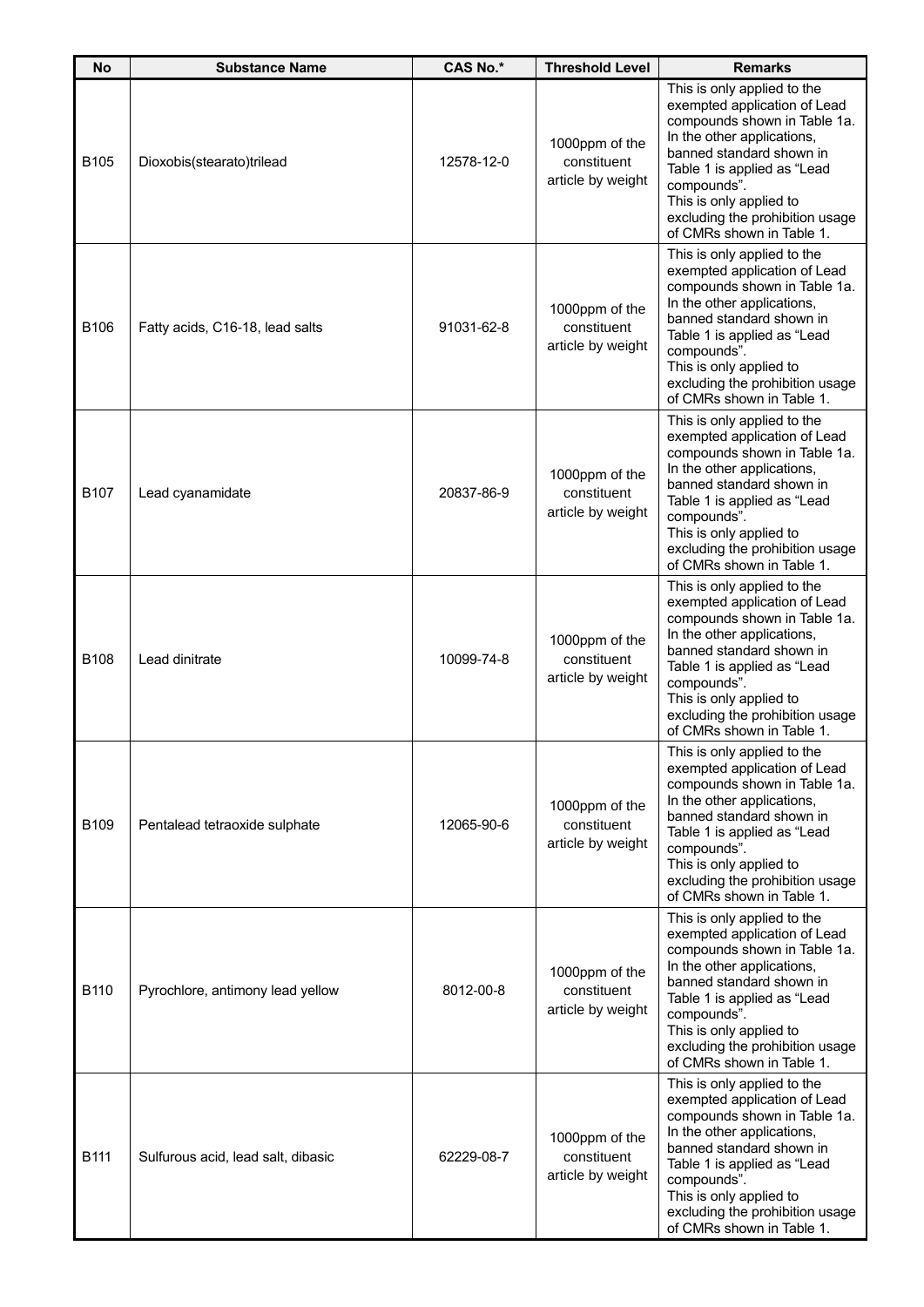| <b>No</b>        | <b>Substance Name</b>              | <b>CAS No.*</b> | <b>Threshold Level</b>                             | <b>Remarks</b>                                                                                                                                                                                                                                                                                 |
|------------------|------------------------------------|-----------------|----------------------------------------------------|------------------------------------------------------------------------------------------------------------------------------------------------------------------------------------------------------------------------------------------------------------------------------------------------|
| B <sub>105</sub> | Dioxobis(stearato)trilead          | 12578-12-0      | 1000ppm of the<br>constituent<br>article by weight | This is only applied to the<br>exempted application of Lead<br>compounds shown in Table 1a.<br>In the other applications,<br>banned standard shown in<br>Table 1 is applied as "Lead<br>compounds".<br>This is only applied to<br>excluding the prohibition usage<br>of CMRs shown in Table 1. |
| B106             | Fatty acids, C16-18, lead salts    | 91031-62-8      | 1000ppm of the<br>constituent<br>article by weight | This is only applied to the<br>exempted application of Lead<br>compounds shown in Table 1a.<br>In the other applications,<br>banned standard shown in<br>Table 1 is applied as "Lead<br>compounds".<br>This is only applied to<br>excluding the prohibition usage<br>of CMRs shown in Table 1. |
| <b>B107</b>      | Lead cyanamidate                   | 20837-86-9      | 1000ppm of the<br>constituent<br>article by weight | This is only applied to the<br>exempted application of Lead<br>compounds shown in Table 1a.<br>In the other applications,<br>banned standard shown in<br>Table 1 is applied as "Lead<br>compounds".<br>This is only applied to<br>excluding the prohibition usage<br>of CMRs shown in Table 1. |
| B108             | Lead dinitrate                     | 10099-74-8      | 1000ppm of the<br>constituent<br>article by weight | This is only applied to the<br>exempted application of Lead<br>compounds shown in Table 1a.<br>In the other applications,<br>banned standard shown in<br>Table 1 is applied as "Lead<br>compounds".<br>This is only applied to<br>excluding the prohibition usage<br>of CMRs shown in Table 1. |
| B109             | Pentalead tetraoxide sulphate      | 12065-90-6      | 1000ppm of the<br>constituent<br>article by weight | This is only applied to the<br>exempted application of Lead<br>compounds shown in Table 1a.<br>In the other applications,<br>banned standard shown in<br>Table 1 is applied as "Lead<br>compounds".<br>This is only applied to<br>excluding the prohibition usage<br>of CMRs shown in Table 1. |
| B110             | Pyrochlore, antimony lead yellow   | 8012-00-8       | 1000ppm of the<br>constituent<br>article by weight | This is only applied to the<br>exempted application of Lead<br>compounds shown in Table 1a.<br>In the other applications,<br>banned standard shown in<br>Table 1 is applied as "Lead<br>compounds".<br>This is only applied to<br>excluding the prohibition usage<br>of CMRs shown in Table 1. |
| B111             | Sulfurous acid, lead salt, dibasic | 62229-08-7      | 1000ppm of the<br>constituent<br>article by weight | This is only applied to the<br>exempted application of Lead<br>compounds shown in Table 1a.<br>In the other applications,<br>banned standard shown in<br>Table 1 is applied as "Lead<br>compounds".<br>This is only applied to<br>excluding the prohibition usage<br>of CMRs shown in Table 1. |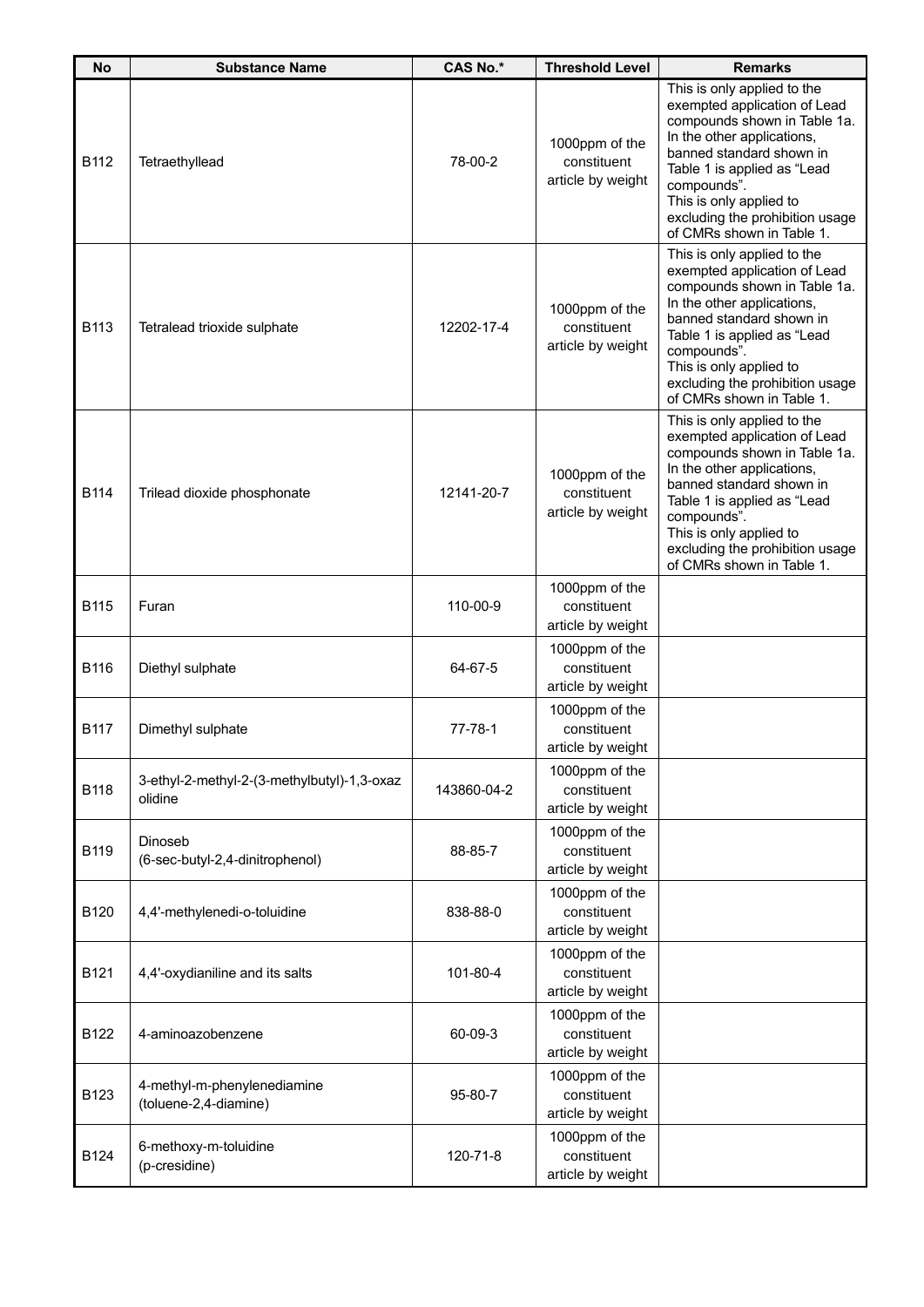| <b>No</b>   | <b>Substance Name</b>                                  | <b>CAS No.*</b> | <b>Threshold Level</b>                             | <b>Remarks</b>                                                                                                                                                                                                                                                                                 |
|-------------|--------------------------------------------------------|-----------------|----------------------------------------------------|------------------------------------------------------------------------------------------------------------------------------------------------------------------------------------------------------------------------------------------------------------------------------------------------|
| B112        | Tetraethyllead                                         | 78-00-2         | 1000ppm of the<br>constituent<br>article by weight | This is only applied to the<br>exempted application of Lead<br>compounds shown in Table 1a.<br>In the other applications,<br>banned standard shown in<br>Table 1 is applied as "Lead<br>compounds".<br>This is only applied to<br>excluding the prohibition usage<br>of CMRs shown in Table 1. |
| B113        | Tetralead trioxide sulphate                            | 12202-17-4      | 1000ppm of the<br>constituent<br>article by weight | This is only applied to the<br>exempted application of Lead<br>compounds shown in Table 1a.<br>In the other applications,<br>banned standard shown in<br>Table 1 is applied as "Lead<br>compounds".<br>This is only applied to<br>excluding the prohibition usage<br>of CMRs shown in Table 1. |
| B114        | Trilead dioxide phosphonate                            | 12141-20-7      | 1000ppm of the<br>constituent<br>article by weight | This is only applied to the<br>exempted application of Lead<br>compounds shown in Table 1a.<br>In the other applications,<br>banned standard shown in<br>Table 1 is applied as "Lead<br>compounds".<br>This is only applied to<br>excluding the prohibition usage<br>of CMRs shown in Table 1. |
| <b>B115</b> | Furan                                                  | 110-00-9        | 1000ppm of the<br>constituent<br>article by weight |                                                                                                                                                                                                                                                                                                |
| B116        | Diethyl sulphate                                       | 64-67-5         | 1000ppm of the<br>constituent<br>article by weight |                                                                                                                                                                                                                                                                                                |
| <b>B117</b> | Dimethyl sulphate                                      | $77 - 78 - 1$   | 1000ppm of the<br>constituent<br>article by weight |                                                                                                                                                                                                                                                                                                |
| <b>B118</b> | 3-ethyl-2-methyl-2-(3-methylbutyl)-1,3-oxaz<br>olidine | 143860-04-2     | 1000ppm of the<br>constituent<br>article by weight |                                                                                                                                                                                                                                                                                                |
| B119        | Dinoseb<br>(6-sec-butyl-2,4-dinitrophenol)             | 88-85-7         | 1000ppm of the<br>constituent<br>article by weight |                                                                                                                                                                                                                                                                                                |
| B120        | 4,4'-methylenedi-o-toluidine                           | 838-88-0        | 1000ppm of the<br>constituent<br>article by weight |                                                                                                                                                                                                                                                                                                |
| B121        | 4,4'-oxydianiline and its salts                        | 101-80-4        | 1000ppm of the<br>constituent<br>article by weight |                                                                                                                                                                                                                                                                                                |
| B122        | 4-aminoazobenzene                                      | 60-09-3         | 1000ppm of the<br>constituent<br>article by weight |                                                                                                                                                                                                                                                                                                |
| B123        | 4-methyl-m-phenylenediamine<br>(toluene-2,4-diamine)   | 95-80-7         | 1000ppm of the<br>constituent<br>article by weight |                                                                                                                                                                                                                                                                                                |
| B124        | 6-methoxy-m-toluidine<br>(p-cresidine)                 | 120-71-8        | 1000ppm of the<br>constituent<br>article by weight |                                                                                                                                                                                                                                                                                                |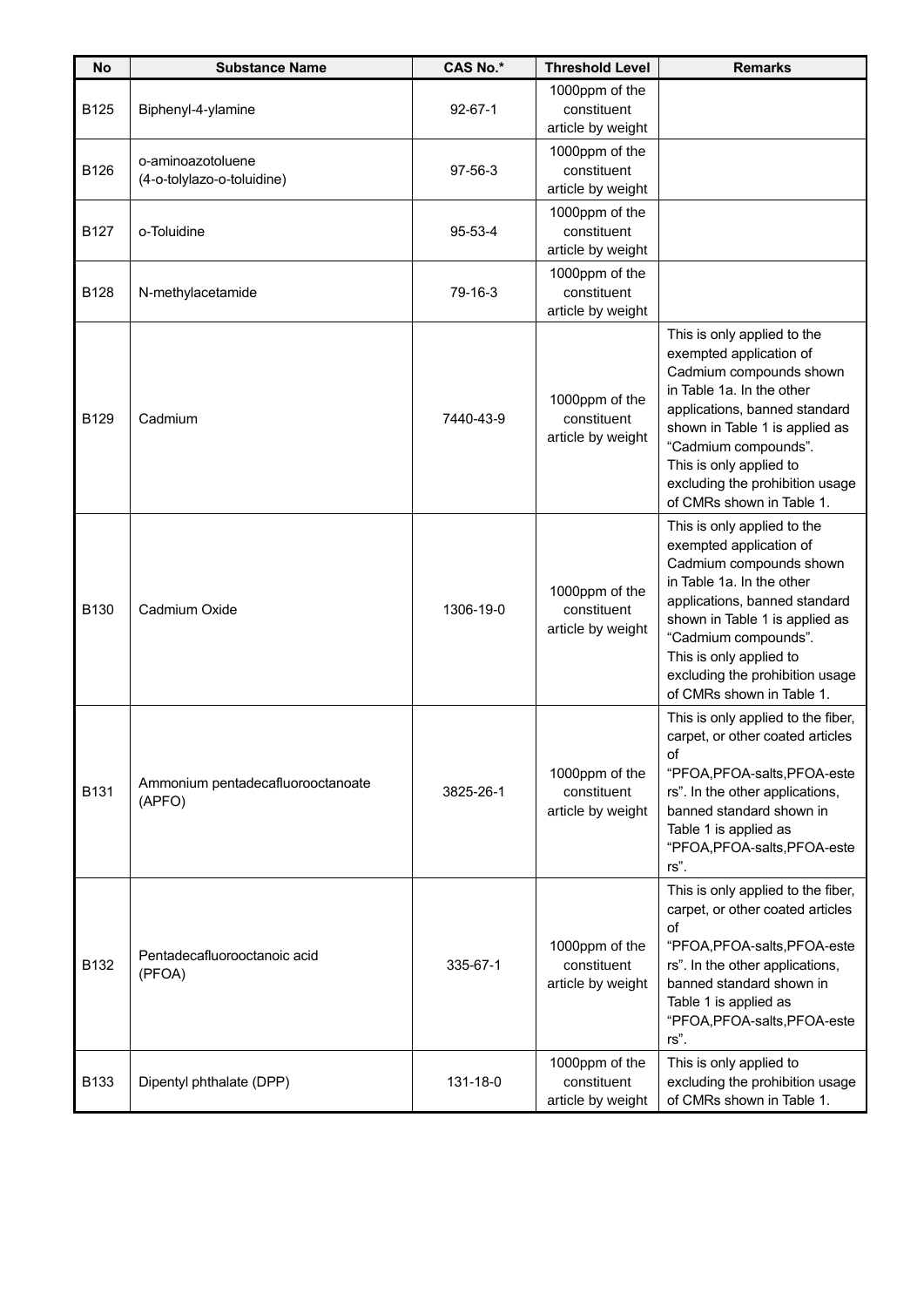| <b>No</b>   | <b>Substance Name</b>                           | <b>CAS No.*</b> | <b>Threshold Level</b>                             | <b>Remarks</b>                                                                                                                                                                                                                                                                                       |
|-------------|-------------------------------------------------|-----------------|----------------------------------------------------|------------------------------------------------------------------------------------------------------------------------------------------------------------------------------------------------------------------------------------------------------------------------------------------------------|
| B125        | Biphenyl-4-ylamine                              | $92 - 67 - 1$   | 1000ppm of the<br>constituent<br>article by weight |                                                                                                                                                                                                                                                                                                      |
| B126        | o-aminoazotoluene<br>(4-o-tolylazo-o-toluidine) | 97-56-3         | 1000ppm of the<br>constituent<br>article by weight |                                                                                                                                                                                                                                                                                                      |
| <b>B127</b> | o-Toluidine                                     | 95-53-4         | 1000ppm of the<br>constituent<br>article by weight |                                                                                                                                                                                                                                                                                                      |
| <b>B128</b> | N-methylacetamide                               | 79-16-3         | 1000ppm of the<br>constituent<br>article by weight |                                                                                                                                                                                                                                                                                                      |
| B129        | Cadmium                                         | 7440-43-9       | 1000ppm of the<br>constituent<br>article by weight | This is only applied to the<br>exempted application of<br>Cadmium compounds shown<br>in Table 1a. In the other<br>applications, banned standard<br>shown in Table 1 is applied as<br>"Cadmium compounds".<br>This is only applied to<br>excluding the prohibition usage<br>of CMRs shown in Table 1. |
| B130        | Cadmium Oxide                                   | 1306-19-0       | 1000ppm of the<br>constituent<br>article by weight | This is only applied to the<br>exempted application of<br>Cadmium compounds shown<br>in Table 1a. In the other<br>applications, banned standard<br>shown in Table 1 is applied as<br>"Cadmium compounds".<br>This is only applied to<br>excluding the prohibition usage<br>of CMRs shown in Table 1. |
| B131        | Ammonium pentadecafluorooctanoate<br>(APFO)     | 3825-26-1       | 1000ppm of the<br>constituent<br>article by weight | This is only applied to the fiber,<br>carpet, or other coated articles<br>οf<br>"PFOA, PFOA-salts, PFOA-este<br>rs". In the other applications,<br>banned standard shown in<br>Table 1 is applied as<br>"PFOA, PFOA-salts, PFOA-este<br>rs".                                                         |
| B132        | Pentadecafluorooctanoic acid<br>(PFOA)          | 335-67-1        | 1000ppm of the<br>constituent<br>article by weight | This is only applied to the fiber,<br>carpet, or other coated articles<br>of<br>"PFOA, PFOA-salts, PFOA-este<br>rs". In the other applications,<br>banned standard shown in<br>Table 1 is applied as<br>"PFOA, PFOA-salts, PFOA-este<br>rs".                                                         |
| <b>B133</b> | Dipentyl phthalate (DPP)                        | 131-18-0        | 1000ppm of the<br>constituent<br>article by weight | This is only applied to<br>excluding the prohibition usage<br>of CMRs shown in Table 1.                                                                                                                                                                                                              |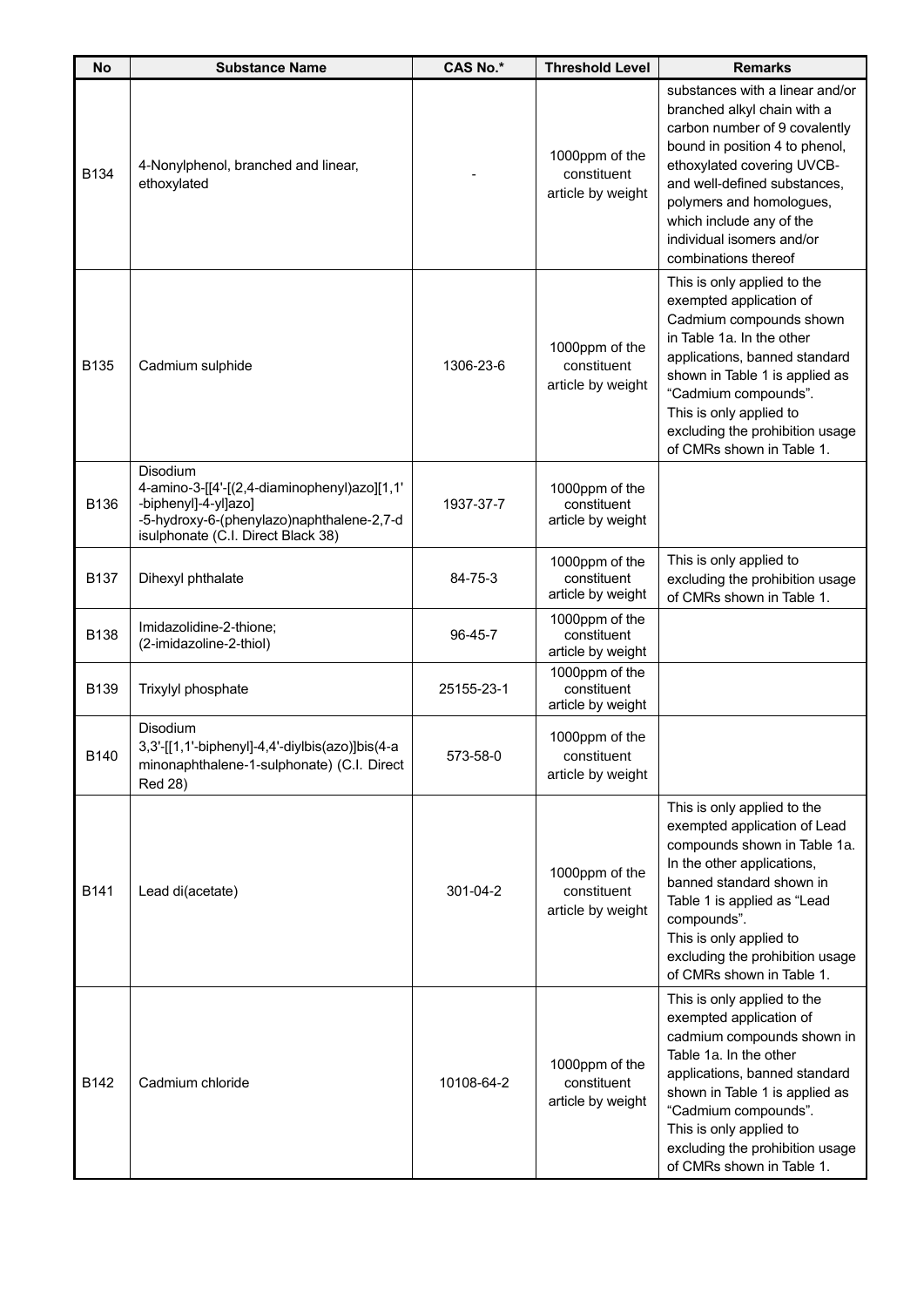| <b>No</b>   | <b>Substance Name</b>                                                                                                                                               | <b>CAS No.*</b> | <b>Threshold Level</b>                             | <b>Remarks</b>                                                                                                                                                                                                                                                                                               |
|-------------|---------------------------------------------------------------------------------------------------------------------------------------------------------------------|-----------------|----------------------------------------------------|--------------------------------------------------------------------------------------------------------------------------------------------------------------------------------------------------------------------------------------------------------------------------------------------------------------|
| <b>B134</b> | 4-Nonylphenol, branched and linear,<br>ethoxylated                                                                                                                  |                 | 1000ppm of the<br>constituent<br>article by weight | substances with a linear and/or<br>branched alkyl chain with a<br>carbon number of 9 covalently<br>bound in position 4 to phenol,<br>ethoxylated covering UVCB-<br>and well-defined substances,<br>polymers and homologues,<br>which include any of the<br>individual isomers and/or<br>combinations thereof |
| <b>B135</b> | Cadmium sulphide                                                                                                                                                    | 1306-23-6       | 1000ppm of the<br>constituent<br>article by weight | This is only applied to the<br>exempted application of<br>Cadmium compounds shown<br>in Table 1a. In the other<br>applications, banned standard<br>shown in Table 1 is applied as<br>"Cadmium compounds".<br>This is only applied to<br>excluding the prohibition usage<br>of CMRs shown in Table 1.         |
| B136        | Disodium<br>4-amino-3-[[4'-[(2,4-diaminophenyl)azo][1,1'<br>-biphenyl]-4-yl]azo]<br>-5-hydroxy-6-(phenylazo)naphthalene-2,7-d<br>isulphonate (C.I. Direct Black 38) | 1937-37-7       | 1000ppm of the<br>constituent<br>article by weight |                                                                                                                                                                                                                                                                                                              |
| <b>B137</b> | Dihexyl phthalate                                                                                                                                                   | 84-75-3         | 1000ppm of the<br>constituent<br>article by weight | This is only applied to<br>excluding the prohibition usage<br>of CMRs shown in Table 1.                                                                                                                                                                                                                      |
| B138        | Imidazolidine-2-thione;<br>(2-imidazoline-2-thiol)                                                                                                                  | $96 - 45 - 7$   | 1000ppm of the<br>constituent<br>article by weight |                                                                                                                                                                                                                                                                                                              |
| B139        | Trixylyl phosphate                                                                                                                                                  | 25155-23-1      | 1000ppm of the<br>constituent<br>article by weight |                                                                                                                                                                                                                                                                                                              |
| B140        | Disodium<br>$3,3'$ -[[1,1'-biphenyl]-4,4'-diylbis(azo)]bis(4-a<br>minonaphthalene-1-sulphonate) (C.I. Direct<br><b>Red 28)</b>                                      | 573-58-0        | 1000ppm of the<br>constituent<br>article by weight |                                                                                                                                                                                                                                                                                                              |
| <b>B141</b> | Lead di(acetate)                                                                                                                                                    | 301-04-2        | 1000ppm of the<br>constituent<br>article by weight | This is only applied to the<br>exempted application of Lead<br>compounds shown in Table 1a.<br>In the other applications,<br>banned standard shown in<br>Table 1 is applied as "Lead<br>compounds".<br>This is only applied to<br>excluding the prohibition usage<br>of CMRs shown in Table 1.               |
| B142        | Cadmium chloride                                                                                                                                                    | 10108-64-2      | 1000ppm of the<br>constituent<br>article by weight | This is only applied to the<br>exempted application of<br>cadmium compounds shown in<br>Table 1a. In the other<br>applications, banned standard<br>shown in Table 1 is applied as<br>"Cadmium compounds".<br>This is only applied to<br>excluding the prohibition usage<br>of CMRs shown in Table 1.         |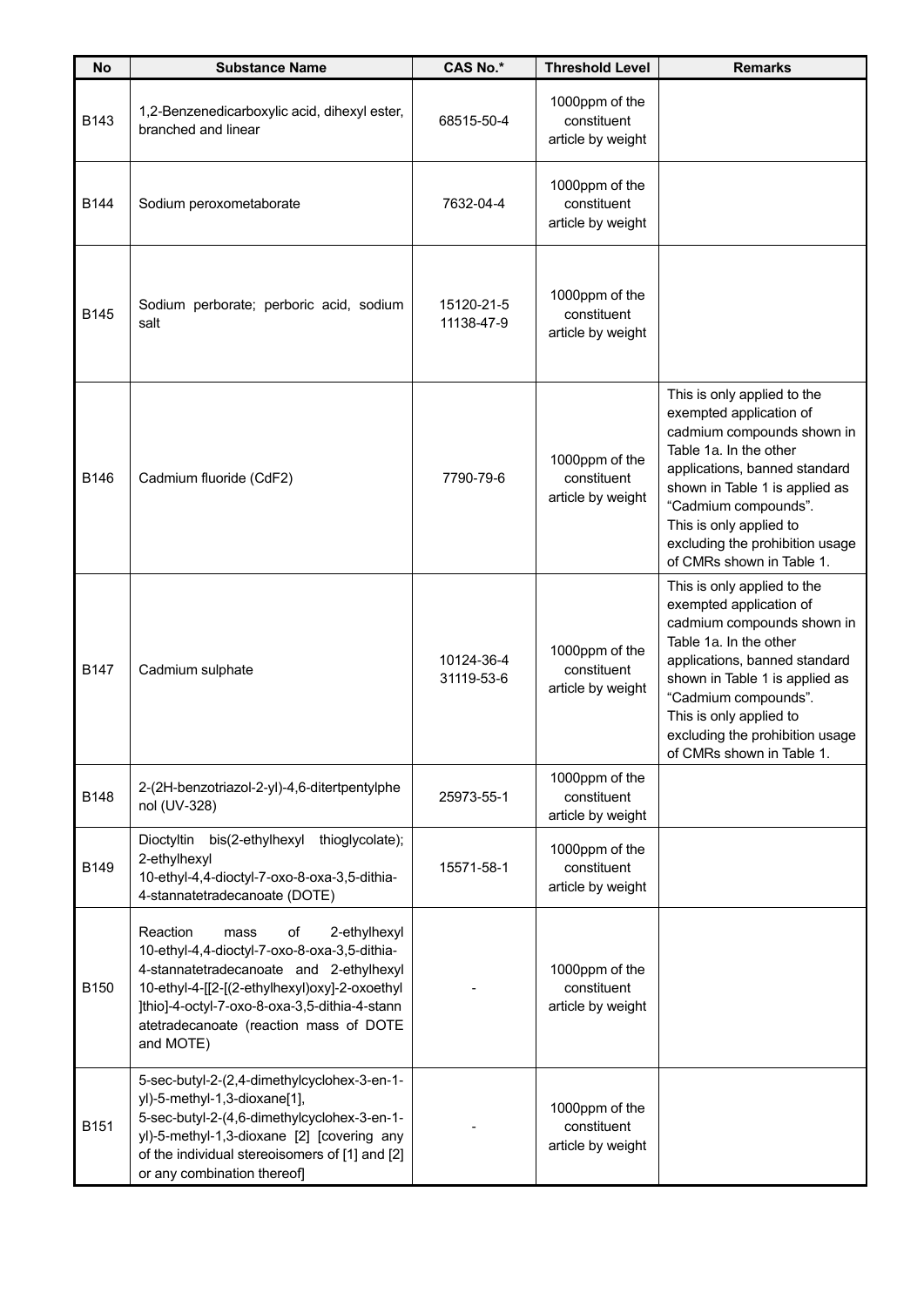| No          | <b>Substance Name</b>                                                                                                                                                                                                                                                                      | <b>CAS No.*</b>          | <b>Threshold Level</b>                             | <b>Remarks</b>                                                                                                                                                                                                                                                                                       |
|-------------|--------------------------------------------------------------------------------------------------------------------------------------------------------------------------------------------------------------------------------------------------------------------------------------------|--------------------------|----------------------------------------------------|------------------------------------------------------------------------------------------------------------------------------------------------------------------------------------------------------------------------------------------------------------------------------------------------------|
| B143        | 1,2-Benzenedicarboxylic acid, dihexyl ester,<br>branched and linear                                                                                                                                                                                                                        | 68515-50-4               | 1000ppm of the<br>constituent<br>article by weight |                                                                                                                                                                                                                                                                                                      |
| B144        | Sodium peroxometaborate                                                                                                                                                                                                                                                                    | 7632-04-4                | 1000ppm of the<br>constituent<br>article by weight |                                                                                                                                                                                                                                                                                                      |
| <b>B145</b> | Sodium perborate; perboric acid, sodium<br>salt                                                                                                                                                                                                                                            | 15120-21-5<br>11138-47-9 | 1000ppm of the<br>constituent<br>article by weight |                                                                                                                                                                                                                                                                                                      |
| B146        | Cadmium fluoride (CdF2)                                                                                                                                                                                                                                                                    | 7790-79-6                | 1000ppm of the<br>constituent<br>article by weight | This is only applied to the<br>exempted application of<br>cadmium compounds shown in<br>Table 1a. In the other<br>applications, banned standard<br>shown in Table 1 is applied as<br>"Cadmium compounds".<br>This is only applied to<br>excluding the prohibition usage<br>of CMRs shown in Table 1. |
| <b>B147</b> | Cadmium sulphate                                                                                                                                                                                                                                                                           | 10124-36-4<br>31119-53-6 | 1000ppm of the<br>constituent<br>article by weight | This is only applied to the<br>exempted application of<br>cadmium compounds shown in<br>Table 1a. In the other<br>applications, banned standard<br>shown in Table 1 is applied as<br>"Cadmium compounds".<br>This is only applied to<br>excluding the prohibition usage<br>of CMRs shown in Table 1. |
| B148        | 2-(2H-benzotriazol-2-yl)-4,6-ditertpentylphe<br>nol (UV-328)                                                                                                                                                                                                                               | 25973-55-1               | 1000ppm of the<br>constituent<br>article by weight |                                                                                                                                                                                                                                                                                                      |
| B149        | thioglycolate);<br>Dioctyltin<br>bis(2-ethylhexyl<br>2-ethylhexyl<br>10-ethyl-4,4-dioctyl-7-oxo-8-oxa-3,5-dithia-<br>4-stannatetradecanoate (DOTE)                                                                                                                                         | 15571-58-1               | 1000ppm of the<br>constituent<br>article by weight |                                                                                                                                                                                                                                                                                                      |
| B150        | Reaction<br>2-ethylhexyl<br>οf<br>mass<br>10-ethyl-4,4-dioctyl-7-oxo-8-oxa-3,5-dithia-<br>4-stannatetradecanoate and 2-ethylhexyl<br>10-ethyl-4-[[2-[(2-ethylhexyl)oxy]-2-oxoethyl<br>]thio]-4-octyl-7-oxo-8-oxa-3,5-dithia-4-stann<br>atetradecanoate (reaction mass of DOTE<br>and MOTE) |                          | 1000ppm of the<br>constituent<br>article by weight |                                                                                                                                                                                                                                                                                                      |
| B151        | 5-sec-butyl-2-(2,4-dimethylcyclohex-3-en-1-<br>yl)-5-methyl-1,3-dioxane[1],<br>5-sec-butyl-2-(4,6-dimethylcyclohex-3-en-1-<br>yl)-5-methyl-1,3-dioxane [2] [covering any<br>of the individual stereoisomers of [1] and [2]<br>or any combination thereof]                                  |                          | 1000ppm of the<br>constituent<br>article by weight |                                                                                                                                                                                                                                                                                                      |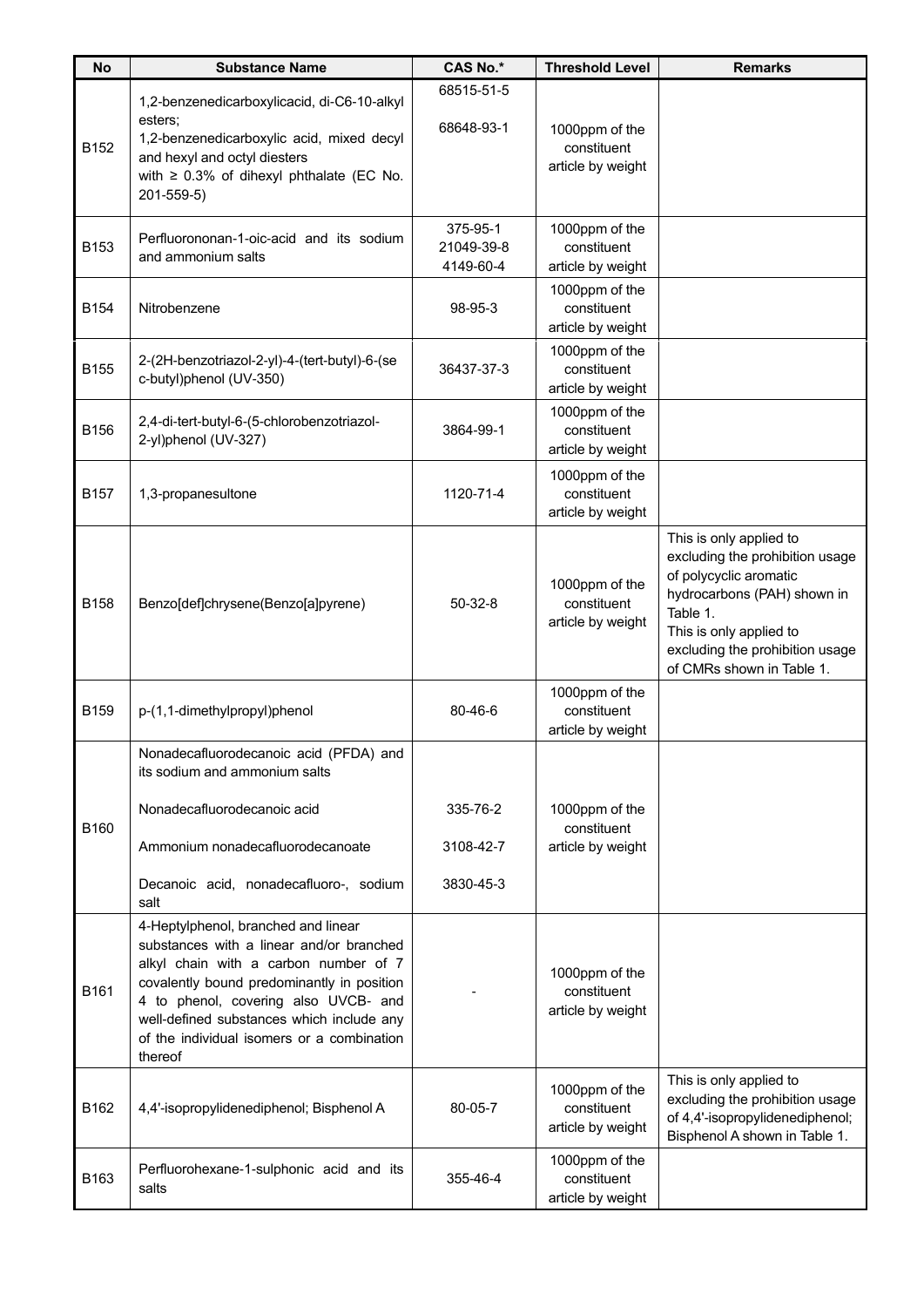| <b>No</b>        | <b>Substance Name</b>                                                                                                                                                                                                                                                                                                | <b>CAS No.*</b>                     | <b>Threshold Level</b>                             | <b>Remarks</b>                                                                                                                                                                                                             |
|------------------|----------------------------------------------------------------------------------------------------------------------------------------------------------------------------------------------------------------------------------------------------------------------------------------------------------------------|-------------------------------------|----------------------------------------------------|----------------------------------------------------------------------------------------------------------------------------------------------------------------------------------------------------------------------------|
| B152             | 1,2-benzenedicarboxylicacid, di-C6-10-alkyl<br>esters;<br>1,2-benzenedicarboxylic acid, mixed decyl<br>and hexyl and octyl diesters<br>with $\geq$ 0.3% of dihexyl phthalate (EC No.<br>201-559-5)                                                                                                                   | 68515-51-5<br>68648-93-1            | 1000ppm of the<br>constituent<br>article by weight |                                                                                                                                                                                                                            |
| B153             | Perfluorononan-1-oic-acid and its sodium<br>and ammonium salts                                                                                                                                                                                                                                                       | 375-95-1<br>21049-39-8<br>4149-60-4 | 1000ppm of the<br>constituent<br>article by weight |                                                                                                                                                                                                                            |
| B <sub>154</sub> | Nitrobenzene                                                                                                                                                                                                                                                                                                         | 98-95-3                             | 1000ppm of the<br>constituent<br>article by weight |                                                                                                                                                                                                                            |
| B155             | 2-(2H-benzotriazol-2-yl)-4-(tert-butyl)-6-(se<br>c-butyl)phenol (UV-350)                                                                                                                                                                                                                                             | 36437-37-3                          | 1000ppm of the<br>constituent<br>article by weight |                                                                                                                                                                                                                            |
| B156             | 2,4-di-tert-butyl-6-(5-chlorobenzotriazol-<br>2-yl)phenol (UV-327)                                                                                                                                                                                                                                                   | 3864-99-1                           | 1000ppm of the<br>constituent<br>article by weight |                                                                                                                                                                                                                            |
| B157             | 1,3-propanesultone                                                                                                                                                                                                                                                                                                   | 1120-71-4                           | 1000ppm of the<br>constituent<br>article by weight |                                                                                                                                                                                                                            |
| B158             | Benzo[def]chrysene(Benzo[a]pyrene)                                                                                                                                                                                                                                                                                   | $50-32-8$                           | 1000ppm of the<br>constituent<br>article by weight | This is only applied to<br>excluding the prohibition usage<br>of polycyclic aromatic<br>hydrocarbons (PAH) shown in<br>Table 1.<br>This is only applied to<br>excluding the prohibition usage<br>of CMRs shown in Table 1. |
| B <sub>159</sub> | p-(1,1-dimethylpropyl)phenol                                                                                                                                                                                                                                                                                         | 80-46-6                             | 1000ppm of the<br>constituent<br>article by weight |                                                                                                                                                                                                                            |
| B160             | Nonadecafluorodecanoic acid (PFDA) and<br>its sodium and ammonium salts<br>Nonadecafluorodecanoic acid<br>Ammonium nonadecafluorodecanoate<br>Decanoic acid, nonadecafluoro-, sodium<br>salt                                                                                                                         | 335-76-2<br>3108-42-7<br>3830-45-3  | 1000ppm of the<br>constituent<br>article by weight |                                                                                                                                                                                                                            |
| B161             | 4-Heptylphenol, branched and linear<br>substances with a linear and/or branched<br>alkyl chain with a carbon number of 7<br>covalently bound predominantly in position<br>4 to phenol, covering also UVCB- and<br>well-defined substances which include any<br>of the individual isomers or a combination<br>thereof |                                     | 1000ppm of the<br>constituent<br>article by weight |                                                                                                                                                                                                                            |
| B162             | 4,4'-isopropylidenediphenol; Bisphenol A                                                                                                                                                                                                                                                                             | 80-05-7                             | 1000ppm of the<br>constituent<br>article by weight | This is only applied to<br>excluding the prohibition usage<br>of 4,4'-isopropylidenediphenol;<br>Bisphenol A shown in Table 1.                                                                                             |
| B163             | Perfluorohexane-1-sulphonic acid and its<br>salts                                                                                                                                                                                                                                                                    | 355-46-4                            | 1000ppm of the<br>constituent<br>article by weight |                                                                                                                                                                                                                            |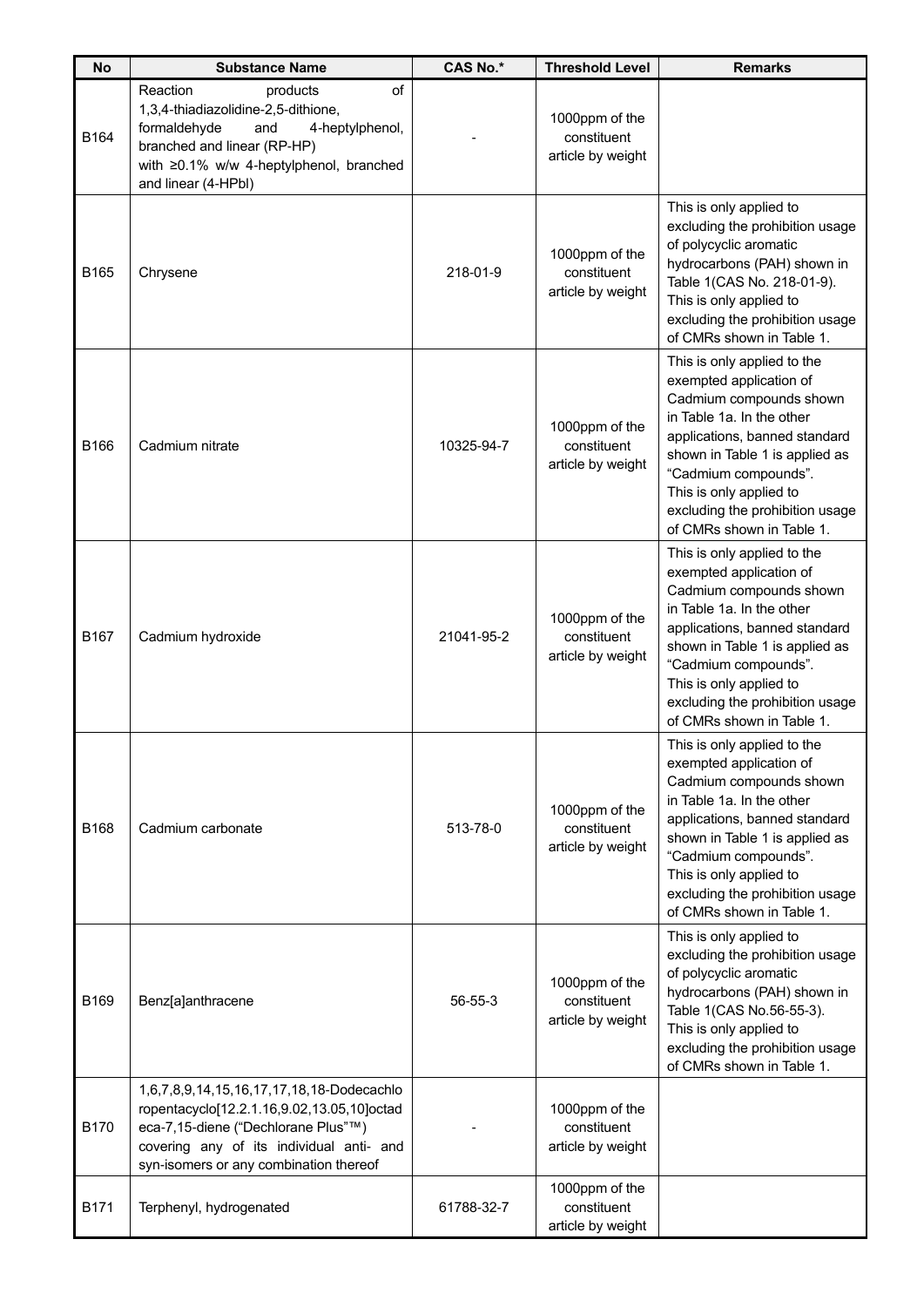| <b>No</b> | <b>Substance Name</b>                                                                                                                                                                                                | <b>CAS No.*</b> | <b>Threshold Level</b>                             | <b>Remarks</b>                                                                                                                                                                                                                                                                                       |
|-----------|----------------------------------------------------------------------------------------------------------------------------------------------------------------------------------------------------------------------|-----------------|----------------------------------------------------|------------------------------------------------------------------------------------------------------------------------------------------------------------------------------------------------------------------------------------------------------------------------------------------------------|
| B164      | of<br>Reaction<br>products<br>1,3,4-thiadiazolidine-2,5-dithione,<br>and<br>formaldehyde<br>4-heptylphenol,<br>branched and linear (RP-HP)<br>with ≥0.1% w/w 4-heptylphenol, branched<br>and linear (4-HPbl)         |                 | 1000ppm of the<br>constituent<br>article by weight |                                                                                                                                                                                                                                                                                                      |
| B165      | Chrysene                                                                                                                                                                                                             | 218-01-9        | 1000ppm of the<br>constituent<br>article by weight | This is only applied to<br>excluding the prohibition usage<br>of polycyclic aromatic<br>hydrocarbons (PAH) shown in<br>Table 1(CAS No. 218-01-9).<br>This is only applied to<br>excluding the prohibition usage<br>of CMRs shown in Table 1.                                                         |
| B166      | Cadmium nitrate                                                                                                                                                                                                      | 10325-94-7      | 1000ppm of the<br>constituent<br>article by weight | This is only applied to the<br>exempted application of<br>Cadmium compounds shown<br>in Table 1a. In the other<br>applications, banned standard<br>shown in Table 1 is applied as<br>"Cadmium compounds".<br>This is only applied to<br>excluding the prohibition usage<br>of CMRs shown in Table 1. |
| B167      | Cadmium hydroxide                                                                                                                                                                                                    | 21041-95-2      | 1000ppm of the<br>constituent<br>article by weight | This is only applied to the<br>exempted application of<br>Cadmium compounds shown<br>in Table 1a. In the other<br>applications, banned standard<br>shown in Table 1 is applied as<br>"Cadmium compounds".<br>This is only applied to<br>excluding the prohibition usage<br>of CMRs shown in Table 1. |
| B168      | Cadmium carbonate                                                                                                                                                                                                    | 513-78-0        | 1000ppm of the<br>constituent<br>article by weight | This is only applied to the<br>exempted application of<br>Cadmium compounds shown<br>in Table 1a. In the other<br>applications, banned standard<br>shown in Table 1 is applied as<br>"Cadmium compounds".<br>This is only applied to<br>excluding the prohibition usage<br>of CMRs shown in Table 1. |
| B169      | Benz[a]anthracene                                                                                                                                                                                                    | $56 - 55 - 3$   | 1000ppm of the<br>constituent<br>article by weight | This is only applied to<br>excluding the prohibition usage<br>of polycyclic aromatic<br>hydrocarbons (PAH) shown in<br>Table 1(CAS No.56-55-3).<br>This is only applied to<br>excluding the prohibition usage<br>of CMRs shown in Table 1.                                                           |
| B170      | 1,6,7,8,9,14,15,16,17,17,18,18-Dodecachlo<br>ropentacyclo[12.2.1.16,9.02,13.05,10]octad<br>eca-7,15-diene ("Dechlorane Plus"™)<br>covering any of its individual anti- and<br>syn-isomers or any combination thereof |                 | 1000ppm of the<br>constituent<br>article by weight |                                                                                                                                                                                                                                                                                                      |
| B171      | Terphenyl, hydrogenated                                                                                                                                                                                              | 61788-32-7      | 1000ppm of the<br>constituent<br>article by weight |                                                                                                                                                                                                                                                                                                      |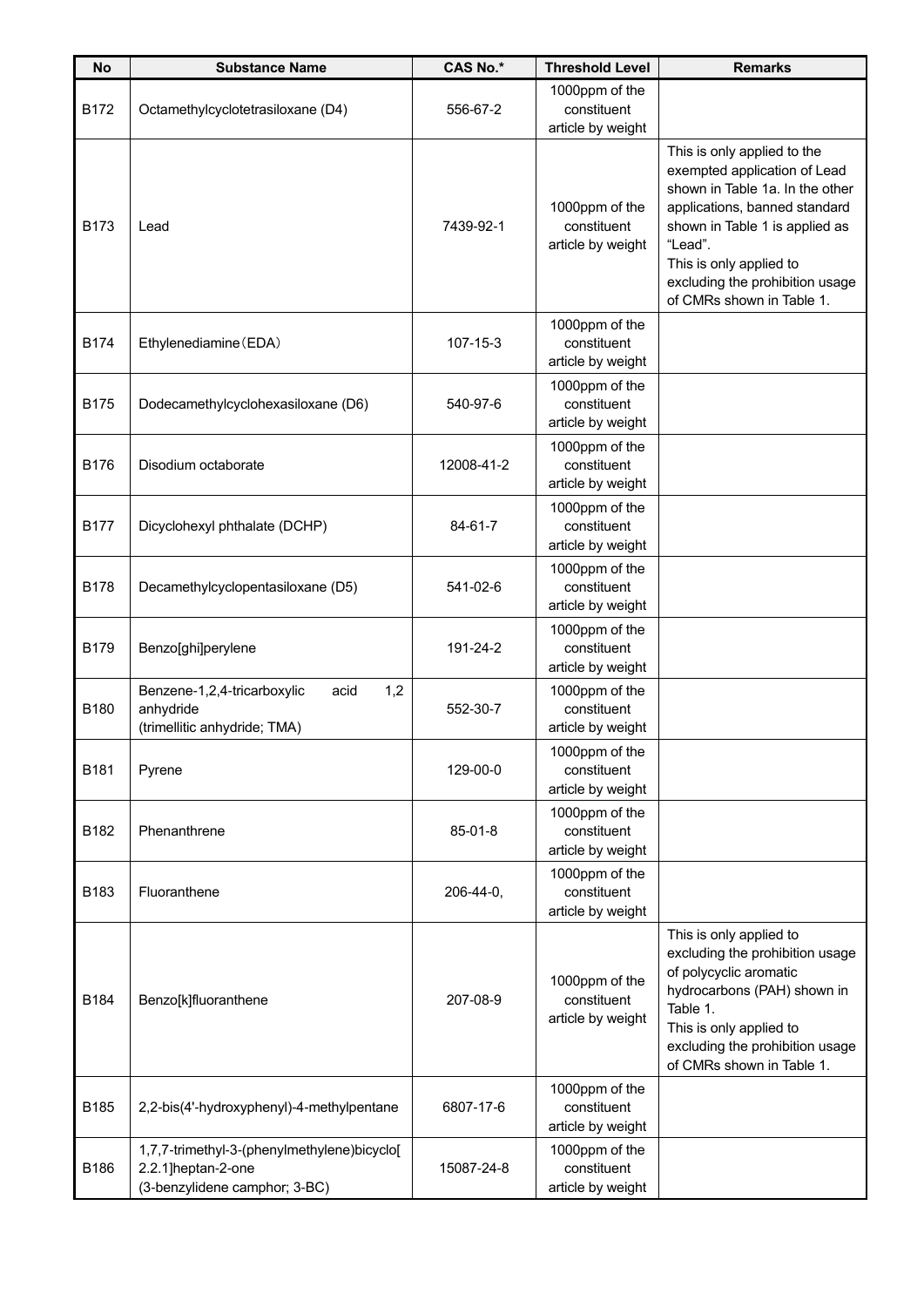| <b>No</b>   | <b>Substance Name</b>                                                                              | <b>CAS No.*</b> | <b>Threshold Level</b>                             | <b>Remarks</b>                                                                                                                                                                                                                                                          |
|-------------|----------------------------------------------------------------------------------------------------|-----------------|----------------------------------------------------|-------------------------------------------------------------------------------------------------------------------------------------------------------------------------------------------------------------------------------------------------------------------------|
| B172        | Octamethylcyclotetrasiloxane (D4)                                                                  | 556-67-2        | 1000ppm of the<br>constituent<br>article by weight |                                                                                                                                                                                                                                                                         |
| B173        | Lead                                                                                               | 7439-92-1       | 1000ppm of the<br>constituent<br>article by weight | This is only applied to the<br>exempted application of Lead<br>shown in Table 1a. In the other<br>applications, banned standard<br>shown in Table 1 is applied as<br>"Lead".<br>This is only applied to<br>excluding the prohibition usage<br>of CMRs shown in Table 1. |
| <b>B174</b> | Ethylenediamine (EDA)                                                                              | 107-15-3        | 1000ppm of the<br>constituent<br>article by weight |                                                                                                                                                                                                                                                                         |
| <b>B175</b> | Dodecamethylcyclohexasiloxane (D6)                                                                 | 540-97-6        | 1000ppm of the<br>constituent<br>article by weight |                                                                                                                                                                                                                                                                         |
| <b>B176</b> | Disodium octaborate                                                                                | 12008-41-2      | 1000ppm of the<br>constituent<br>article by weight |                                                                                                                                                                                                                                                                         |
| <b>B177</b> | Dicyclohexyl phthalate (DCHP)                                                                      | 84-61-7         | 1000ppm of the<br>constituent<br>article by weight |                                                                                                                                                                                                                                                                         |
| <b>B178</b> | Decamethylcyclopentasiloxane (D5)                                                                  | 541-02-6        | 1000ppm of the<br>constituent<br>article by weight |                                                                                                                                                                                                                                                                         |
| <b>B179</b> | Benzo[ghi]perylene                                                                                 | 191-24-2        | 1000ppm of the<br>constituent<br>article by weight |                                                                                                                                                                                                                                                                         |
| B180        | 1,2<br>Benzene-1,2,4-tricarboxylic<br>acid<br>anhydride<br>(trimellitic anhydride; TMA)            | 552-30-7        | 1000ppm of the<br>constituent<br>article by weight |                                                                                                                                                                                                                                                                         |
| B181        | Pyrene                                                                                             | 129-00-0        | 1000ppm of the<br>constituent<br>article by weight |                                                                                                                                                                                                                                                                         |
| B182        | Phenanthrene                                                                                       | $85 - 01 - 8$   | 1000ppm of the<br>constituent<br>article by weight |                                                                                                                                                                                                                                                                         |
| B183        | Fluoranthene                                                                                       | 206-44-0,       | 1000ppm of the<br>constituent<br>article by weight |                                                                                                                                                                                                                                                                         |
| B184        | Benzo[k]fluoranthene                                                                               | 207-08-9        | 1000ppm of the<br>constituent<br>article by weight | This is only applied to<br>excluding the prohibition usage<br>of polycyclic aromatic<br>hydrocarbons (PAH) shown in<br>Table 1.<br>This is only applied to<br>excluding the prohibition usage<br>of CMRs shown in Table 1.                                              |
| B185        | 2,2-bis(4'-hydroxyphenyl)-4-methylpentane                                                          | 6807-17-6       | 1000ppm of the<br>constituent<br>article by weight |                                                                                                                                                                                                                                                                         |
| B186        | 1,7,7-trimethyl-3-(phenylmethylene)bicyclo[<br>2.2.1]heptan-2-one<br>(3-benzylidene camphor; 3-BC) | 15087-24-8      | 1000ppm of the<br>constituent<br>article by weight |                                                                                                                                                                                                                                                                         |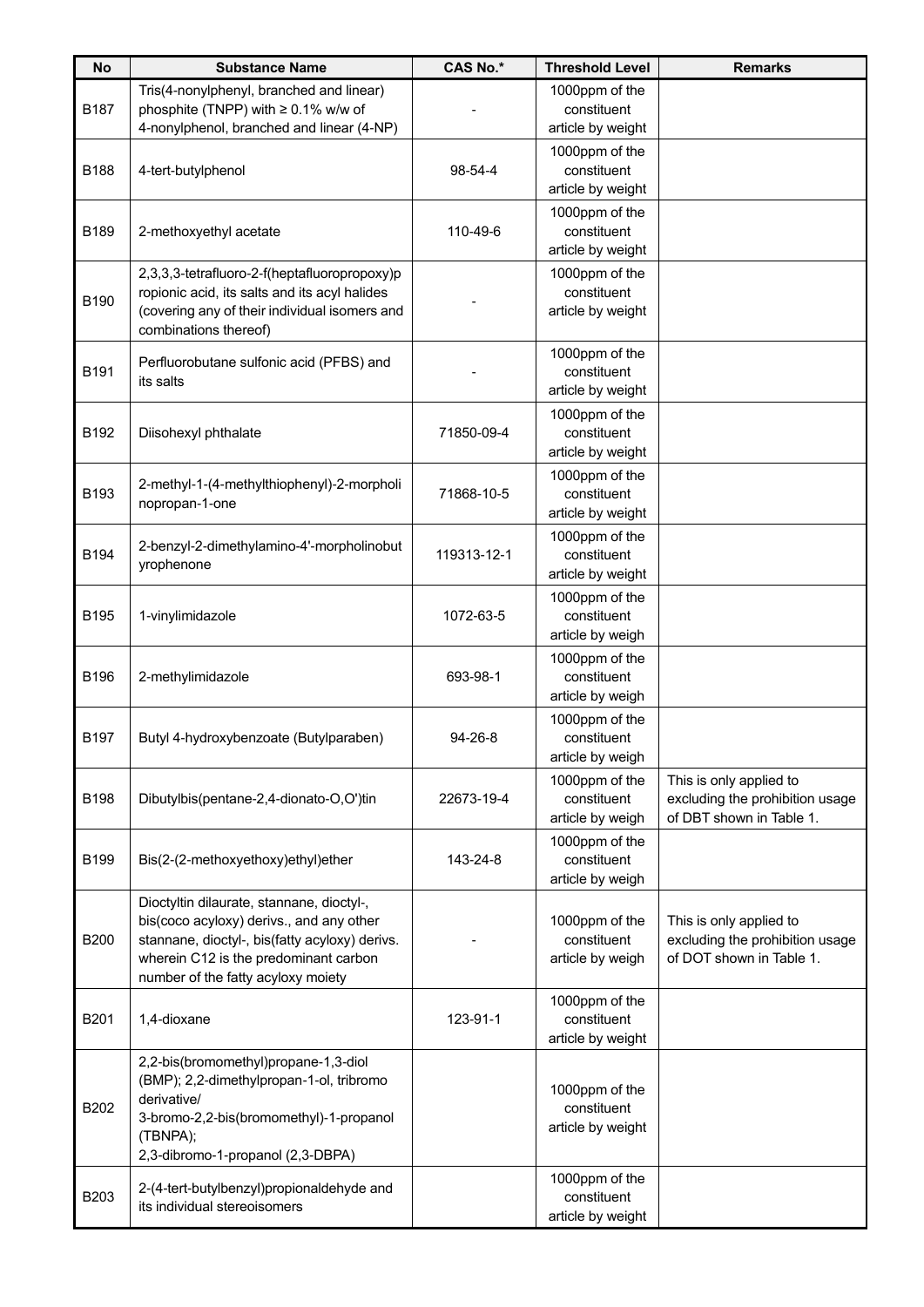| <b>No</b>   | <b>Substance Name</b>                                                                                                                                                                                                  | <b>CAS No.*</b> | <b>Threshold Level</b>                             | <b>Remarks</b>                                                                         |
|-------------|------------------------------------------------------------------------------------------------------------------------------------------------------------------------------------------------------------------------|-----------------|----------------------------------------------------|----------------------------------------------------------------------------------------|
| B187        | Tris(4-nonylphenyl, branched and linear)<br>phosphite (TNPP) with $\geq 0.1\%$ w/w of<br>4-nonylphenol, branched and linear (4-NP)                                                                                     |                 | 1000ppm of the<br>constituent<br>article by weight |                                                                                        |
| <b>B188</b> | 4-tert-butylphenol                                                                                                                                                                                                     | 98-54-4         | 1000ppm of the<br>constituent<br>article by weight |                                                                                        |
| <b>B189</b> | 2-methoxyethyl acetate                                                                                                                                                                                                 | 110-49-6        | 1000ppm of the<br>constituent<br>article by weight |                                                                                        |
| B190        | 2,3,3,3-tetrafluoro-2-f(heptafluoropropoxy)p<br>ropionic acid, its salts and its acyl halides<br>(covering any of their individual isomers and<br>combinations thereof)                                                |                 | 1000ppm of the<br>constituent<br>article by weight |                                                                                        |
| B191        | Perfluorobutane sulfonic acid (PFBS) and<br>its salts                                                                                                                                                                  |                 | 1000ppm of the<br>constituent<br>article by weight |                                                                                        |
| B192        | Diisohexyl phthalate                                                                                                                                                                                                   | 71850-09-4      | 1000ppm of the<br>constituent<br>article by weight |                                                                                        |
| B193        | 2-methyl-1-(4-methylthiophenyl)-2-morpholi<br>nopropan-1-one                                                                                                                                                           | 71868-10-5      | 1000ppm of the<br>constituent<br>article by weight |                                                                                        |
| B194        | 2-benzyl-2-dimethylamino-4'-morpholinobut<br>yrophenone                                                                                                                                                                | 119313-12-1     | 1000ppm of the<br>constituent<br>article by weight |                                                                                        |
| <b>B195</b> | 1-vinylimidazole                                                                                                                                                                                                       | 1072-63-5       | 1000ppm of the<br>constituent<br>article by weigh  |                                                                                        |
| B196        | 2-methylimidazole                                                                                                                                                                                                      | 693-98-1        | 1000ppm of the<br>constituent<br>article by weigh  |                                                                                        |
| B197        | Butyl 4-hydroxybenzoate (Butylparaben)                                                                                                                                                                                 | $94 - 26 - 8$   | 1000ppm of the<br>constituent<br>article by weigh  |                                                                                        |
| <b>B198</b> | Dibutylbis(pentane-2,4-dionato-O,O')tin                                                                                                                                                                                | 22673-19-4      | 1000ppm of the<br>constituent<br>article by weigh  | This is only applied to<br>excluding the prohibition usage<br>of DBT shown in Table 1. |
| <b>B199</b> | Bis(2-(2-methoxyethoxy)ethyl)ether                                                                                                                                                                                     | 143-24-8        | 1000ppm of the<br>constituent<br>article by weigh  |                                                                                        |
| <b>B200</b> | Dioctyltin dilaurate, stannane, dioctyl-,<br>bis(coco acyloxy) derivs., and any other<br>stannane, dioctyl-, bis(fatty acyloxy) derivs.<br>wherein C12 is the predominant carbon<br>number of the fatty acyloxy moiety |                 | 1000ppm of the<br>constituent<br>article by weigh  | This is only applied to<br>excluding the prohibition usage<br>of DOT shown in Table 1. |
| B201        | 1,4-dioxane                                                                                                                                                                                                            | 123-91-1        | 1000ppm of the<br>constituent<br>article by weight |                                                                                        |
| B202        | 2,2-bis(bromomethyl)propane-1,3-diol<br>(BMP); 2,2-dimethylpropan-1-ol, tribromo<br>derivative/<br>3-bromo-2,2-bis(bromomethyl)-1-propanol<br>(TBNPA);<br>2,3-dibromo-1-propanol (2,3-DBPA)                            |                 | 1000ppm of the<br>constituent<br>article by weight |                                                                                        |
| B203        | 2-(4-tert-butylbenzyl)propionaldehyde and<br>its individual stereoisomers                                                                                                                                              |                 | 1000ppm of the<br>constituent<br>article by weight |                                                                                        |